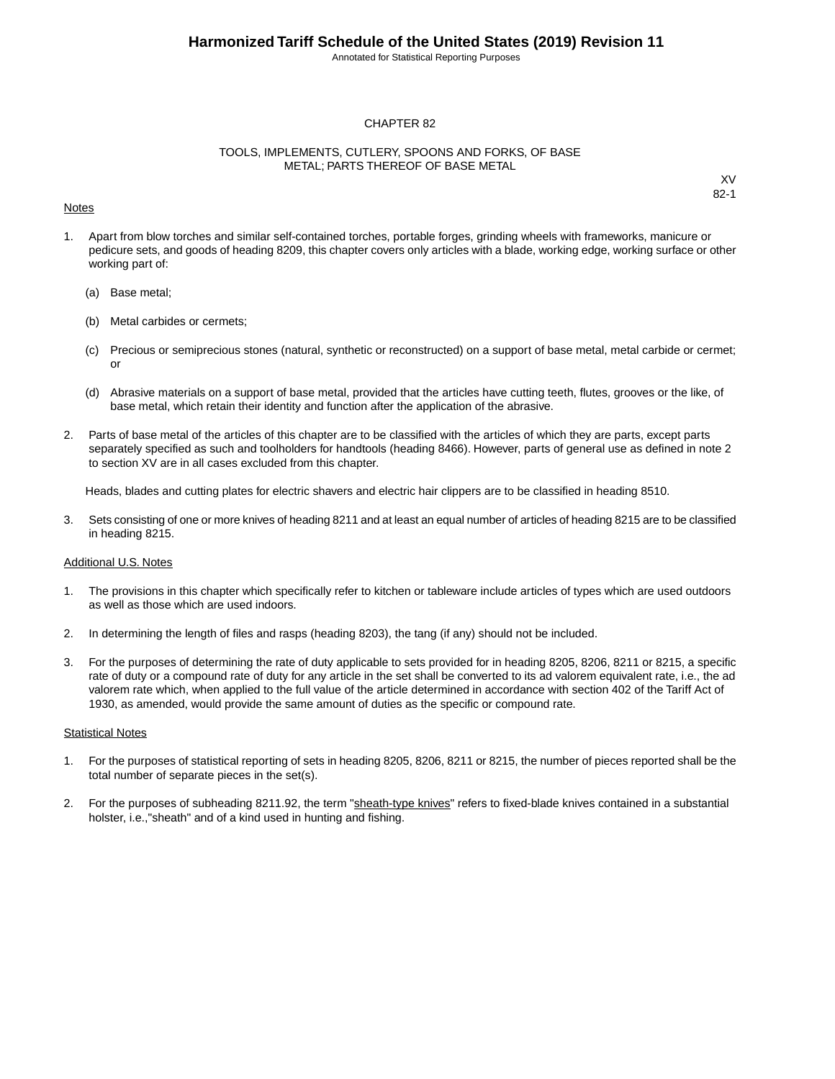Annotated for Statistical Reporting Purposes

#### CHAPTER 82

#### TOOLS, IMPLEMENTS, CUTLERY, SPOONS AND FORKS, OF BASE METAL; PARTS THEREOF OF BASE METAL

#### Notes

XV 82-1

- 1. Apart from blow torches and similar self-contained torches, portable forges, grinding wheels with frameworks, manicure or pedicure sets, and goods of heading 8209, this chapter covers only articles with a blade, working edge, working surface or other working part of:
	- (a) Base metal;
	- (b) Metal carbides or cermets;
	- (c) Precious or semiprecious stones (natural, synthetic or reconstructed) on a support of base metal, metal carbide or cermet; or
	- (d) Abrasive materials on a support of base metal, provided that the articles have cutting teeth, flutes, grooves or the like, of base metal, which retain their identity and function after the application of the abrasive.
- 2. Parts of base metal of the articles of this chapter are to be classified with the articles of which they are parts, except parts separately specified as such and toolholders for handtools (heading 8466). However, parts of general use as defined in note 2 to section XV are in all cases excluded from this chapter.

Heads, blades and cutting plates for electric shavers and electric hair clippers are to be classified in heading 8510.

3. Sets consisting of one or more knives of heading 8211 and at least an equal number of articles of heading 8215 are to be classified in heading 8215.

#### Additional U.S. Notes

- 1. The provisions in this chapter which specifically refer to kitchen or tableware include articles of types which are used outdoors as well as those which are used indoors.
- 2. In determining the length of files and rasps (heading 8203), the tang (if any) should not be included.
- 3. For the purposes of determining the rate of duty applicable to sets provided for in heading 8205, 8206, 8211 or 8215, a specific rate of duty or a compound rate of duty for any article in the set shall be converted to its ad valorem equivalent rate, i.e., the ad valorem rate which, when applied to the full value of the article determined in accordance with section 402 of the Tariff Act of 1930, as amended, would provide the same amount of duties as the specific or compound rate.

#### **Statistical Notes**

- 1. For the purposes of statistical reporting of sets in heading 8205, 8206, 8211 or 8215, the number of pieces reported shall be the total number of separate pieces in the set(s).
- 2. For the purposes of subheading 8211.92, the term "sheath-type knives" refers to fixed-blade knives contained in a substantial holster, i.e.,"sheath" and of a kind used in hunting and fishing.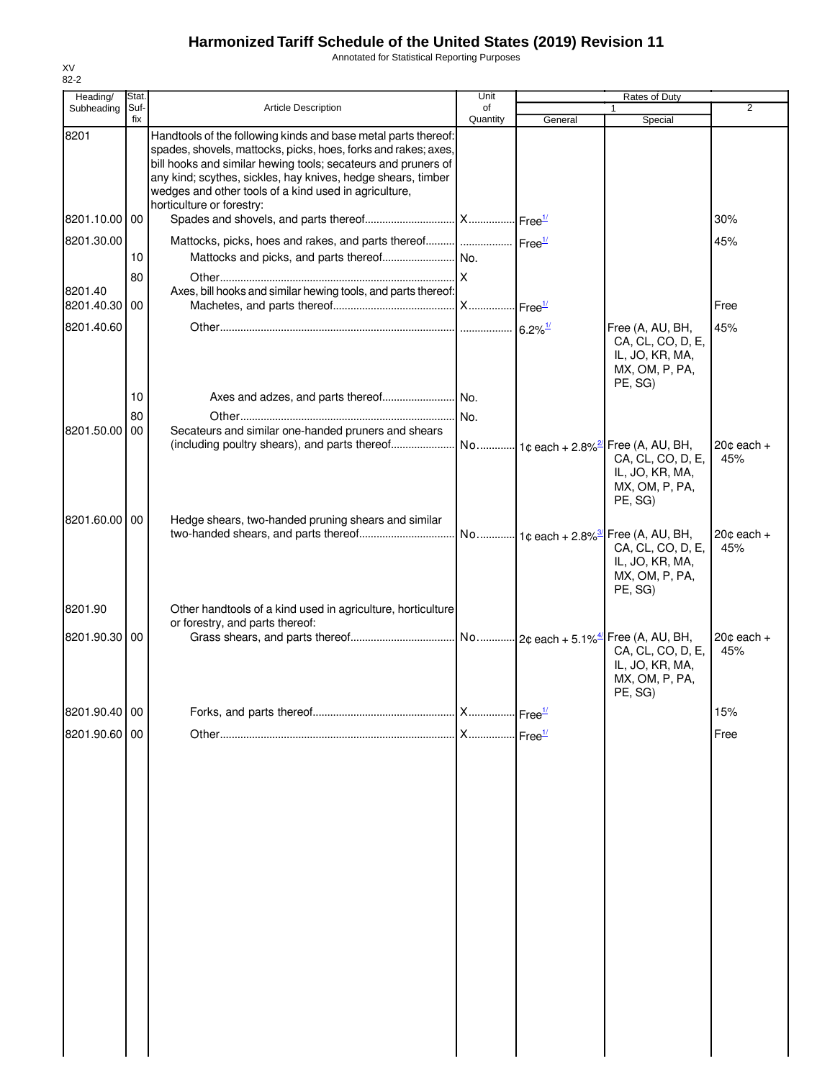Annotated for Statistical Reporting Purposes

| Heading/      | Stat.    |                                                                                                                                                                                                                                                                                                                            | Unit     |                                             | <b>Rates of Duty</b>                                                                       |                     |
|---------------|----------|----------------------------------------------------------------------------------------------------------------------------------------------------------------------------------------------------------------------------------------------------------------------------------------------------------------------------|----------|---------------------------------------------|--------------------------------------------------------------------------------------------|---------------------|
| Subheading    | Suf-     | <b>Article Description</b>                                                                                                                                                                                                                                                                                                 | of       |                                             |                                                                                            | $\overline{2}$      |
|               | fix      |                                                                                                                                                                                                                                                                                                                            | Quantity | General                                     | Special                                                                                    |                     |
| 8201          |          | Handtools of the following kinds and base metal parts thereof:<br>spades, shovels, mattocks, picks, hoes, forks and rakes; axes,<br>bill hooks and similar hewing tools; secateurs and pruners of<br>any kind; scythes, sickles, hay knives, hedge shears, timber<br>wedges and other tools of a kind used in agriculture, |          |                                             |                                                                                            |                     |
| 8201.10.00 00 |          | horticulture or forestry:                                                                                                                                                                                                                                                                                                  |          |                                             |                                                                                            | 30%                 |
| 8201.30.00    |          |                                                                                                                                                                                                                                                                                                                            |          |                                             |                                                                                            | 45%                 |
|               | 10       |                                                                                                                                                                                                                                                                                                                            |          |                                             |                                                                                            |                     |
| 8201.40       | 80       | Axes, bill hooks and similar hewing tools, and parts thereof:                                                                                                                                                                                                                                                              |          |                                             |                                                                                            |                     |
| 8201.40.30 00 |          |                                                                                                                                                                                                                                                                                                                            |          |                                             |                                                                                            | Free                |
| 8201.40.60    |          |                                                                                                                                                                                                                                                                                                                            |          | $6.2\%$ <sup><math>\frac{1}{2}</math></sup> | Free (A, AU, BH,<br>CA, CL, CO, D, E,<br>IL, JO, KR, MA,<br>MX, OM, P, PA,<br>PE, SG)      | 45%                 |
|               | 10       |                                                                                                                                                                                                                                                                                                                            |          |                                             |                                                                                            |                     |
| 8201.50.00    | 80<br>00 | Secateurs and similar one-handed pruners and shears                                                                                                                                                                                                                                                                        | No.      |                                             |                                                                                            |                     |
|               |          | (including poultry shears), and parts thereof                                                                                                                                                                                                                                                                              |          |                                             | No 1c each + 2.8% <sup>2</sup> Free (A, AU, BH,                                            | $20¢$ each +        |
|               |          |                                                                                                                                                                                                                                                                                                                            |          |                                             | CA, CL, CO, D, E,<br>IL, JO, KR, MA,<br>MX, OM, P, PA,<br>PE, SG)                          | 45%                 |
| 8201.60.00 00 |          | Hedge shears, two-handed pruning shears and similar                                                                                                                                                                                                                                                                        |          |                                             | . No 1¢ each + 2.8% <sup>37</sup> Free (A, AU, BH,<br>CA, CL, CO, D, E,<br>IL, JO, KR, MA, | $20¢$ each +<br>45% |
| 8201.90       |          | Other handtools of a kind used in agriculture, horticulture<br>or forestry, and parts thereof:                                                                                                                                                                                                                             |          |                                             | MX, OM, P, PA,<br>PE, SG)                                                                  |                     |
| 8201.90.30 00 |          |                                                                                                                                                                                                                                                                                                                            |          |                                             | CA, CL, CO, D, E,<br>IL, JO, KR, MA,<br>MX, OM, P, PA,<br>PE, SG)                          | $20¢$ each +<br>45% |
| 8201.90.40 00 |          |                                                                                                                                                                                                                                                                                                                            |          |                                             |                                                                                            | 15%                 |
| 8201.90.60 00 |          |                                                                                                                                                                                                                                                                                                                            |          |                                             |                                                                                            | Free                |
|               |          |                                                                                                                                                                                                                                                                                                                            |          |                                             |                                                                                            |                     |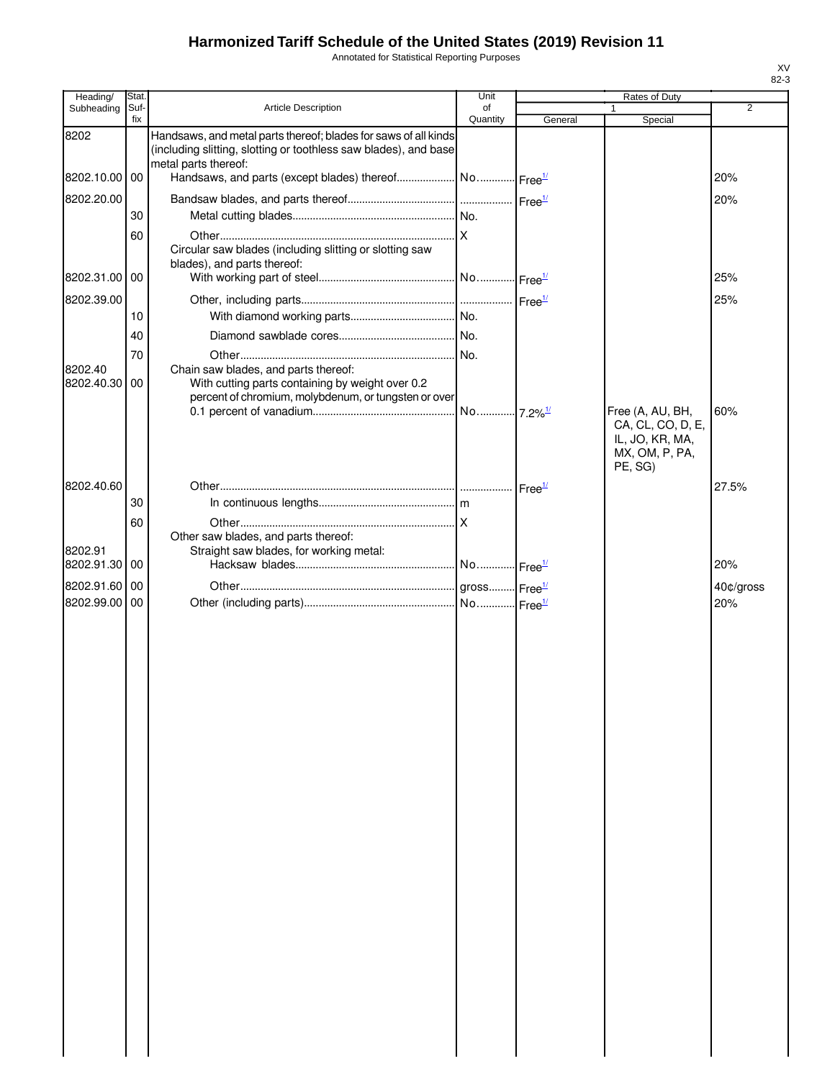Annotated for Statistical Reporting Purposes

| Heading/                 | Stat.       |                                                                                                                                     | Unit           |         | Rates of Duty                                                                         |                  |
|--------------------------|-------------|-------------------------------------------------------------------------------------------------------------------------------------|----------------|---------|---------------------------------------------------------------------------------------|------------------|
| Subheading               | Suf-<br>fix | <b>Article Description</b>                                                                                                          | of<br>Quantity | General | 1<br>Special                                                                          | $\overline{2}$   |
| 8202                     |             | Handsaws, and metal parts thereof; blades for saws of all kinds<br>(including slitting, slotting or toothless saw blades), and base |                |         |                                                                                       |                  |
| 8202.10.00 00            |             | metal parts thereof:                                                                                                                |                |         |                                                                                       | 20%              |
| 8202.20.00               |             |                                                                                                                                     |                |         |                                                                                       | 20%              |
|                          | 30          |                                                                                                                                     |                |         |                                                                                       |                  |
|                          | 60          |                                                                                                                                     |                |         |                                                                                       |                  |
|                          |             | Circular saw blades (including slitting or slotting saw                                                                             |                |         |                                                                                       |                  |
| 8202.31.00 00            |             | blades), and parts thereof:                                                                                                         |                |         |                                                                                       | 25%              |
|                          |             |                                                                                                                                     |                |         |                                                                                       |                  |
| 8202.39.00               | 10          |                                                                                                                                     |                |         |                                                                                       | 25%              |
|                          |             |                                                                                                                                     |                |         |                                                                                       |                  |
|                          | 40          |                                                                                                                                     |                |         |                                                                                       |                  |
| 8202.40                  | 70          | Chain saw blades, and parts thereof:                                                                                                |                |         |                                                                                       |                  |
| 8202.40.30               | 00          | With cutting parts containing by weight over 0.2<br>percent of chromium, molybdenum, or tungsten or over                            |                |         |                                                                                       |                  |
|                          |             |                                                                                                                                     |                |         | Free (A, AU, BH,<br>CA, CL, CO, D, E,<br>IL, JO, KR, MA,<br>MX, OM, P, PA,<br>PE, SG) | 60%              |
| 8202.40.60               |             |                                                                                                                                     |                |         |                                                                                       | 27.5%            |
|                          | 30          |                                                                                                                                     |                |         |                                                                                       |                  |
|                          | 60          |                                                                                                                                     |                |         |                                                                                       |                  |
|                          |             | Other saw blades, and parts thereof:                                                                                                |                |         |                                                                                       |                  |
| 8202.91                  | 00          | Straight saw blades, for working metal:                                                                                             |                |         |                                                                                       | 20%              |
| 8202.91.30               |             |                                                                                                                                     |                |         |                                                                                       |                  |
| 8202.91.60<br>8202.99.00 | 00<br>00    |                                                                                                                                     |                |         |                                                                                       | 40¢/gross<br>20% |
|                          |             |                                                                                                                                     |                |         |                                                                                       |                  |
|                          |             |                                                                                                                                     |                |         |                                                                                       |                  |
|                          |             |                                                                                                                                     |                |         |                                                                                       |                  |
|                          |             |                                                                                                                                     |                |         |                                                                                       |                  |
|                          |             |                                                                                                                                     |                |         |                                                                                       |                  |
|                          |             |                                                                                                                                     |                |         |                                                                                       |                  |
|                          |             |                                                                                                                                     |                |         |                                                                                       |                  |
|                          |             |                                                                                                                                     |                |         |                                                                                       |                  |
|                          |             |                                                                                                                                     |                |         |                                                                                       |                  |
|                          |             |                                                                                                                                     |                |         |                                                                                       |                  |
|                          |             |                                                                                                                                     |                |         |                                                                                       |                  |
|                          |             |                                                                                                                                     |                |         |                                                                                       |                  |
|                          |             |                                                                                                                                     |                |         |                                                                                       |                  |
|                          |             |                                                                                                                                     |                |         |                                                                                       |                  |
|                          |             |                                                                                                                                     |                |         |                                                                                       |                  |
|                          |             |                                                                                                                                     |                |         |                                                                                       |                  |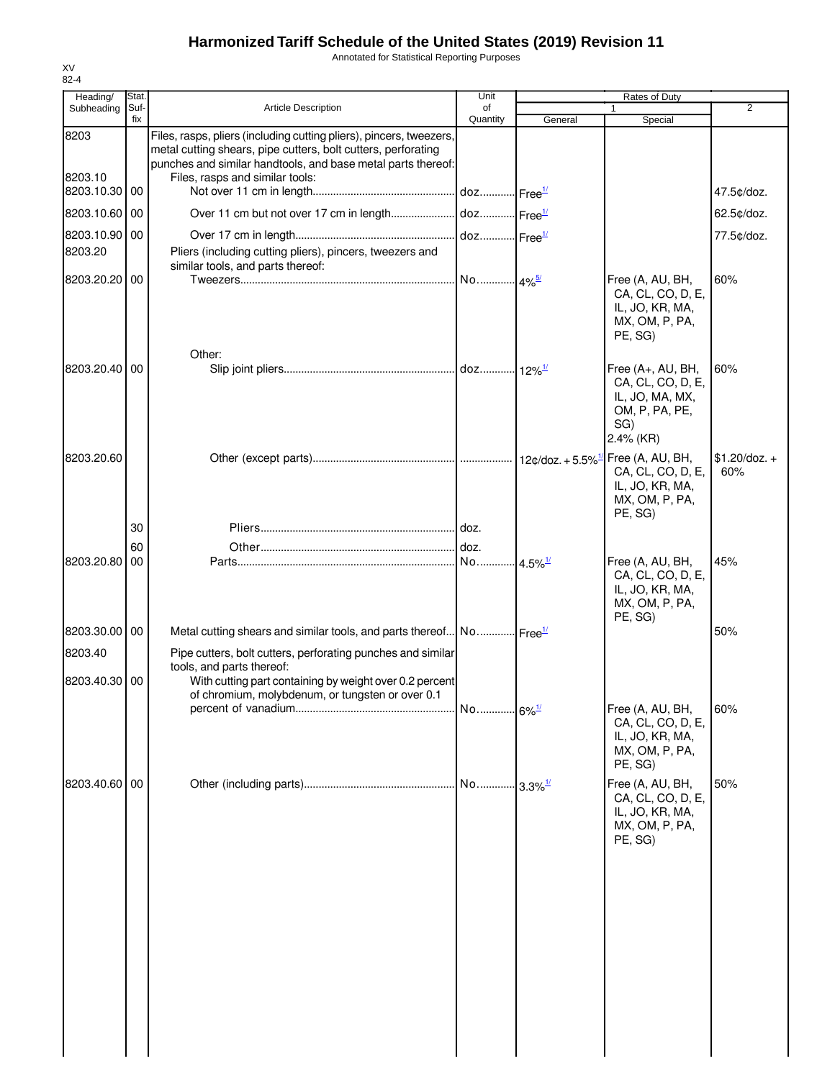Annotated for Statistical Reporting Purposes

| Heading/        | Stat.       |                                                                                                                                                                                                                                         | Unit           |         | Rates of Duty                                                                                   |                        |
|-----------------|-------------|-----------------------------------------------------------------------------------------------------------------------------------------------------------------------------------------------------------------------------------------|----------------|---------|-------------------------------------------------------------------------------------------------|------------------------|
| Subheading      | Suf-<br>fix | <b>Article Description</b>                                                                                                                                                                                                              | of<br>Quantity | General | Special                                                                                         | 2                      |
| 8203<br>8203.10 |             | Files, rasps, pliers (including cutting pliers), pincers, tweezers,<br>metal cutting shears, pipe cutters, bolt cutters, perforating<br>punches and similar handtools, and base metal parts thereof:<br>Files, rasps and similar tools: |                |         |                                                                                                 |                        |
| 8203.10.30 00   |             |                                                                                                                                                                                                                                         |                |         |                                                                                                 | 47.5¢/doz.             |
| 8203.10.60 00   |             |                                                                                                                                                                                                                                         |                |         |                                                                                                 | 62.5¢/doz.             |
| 8203.10.90 00   |             |                                                                                                                                                                                                                                         |                |         |                                                                                                 | 77.5¢/doz.             |
| 8203.20         |             | Pliers (including cutting pliers), pincers, tweezers and<br>similar tools, and parts thereof:                                                                                                                                           |                |         |                                                                                                 |                        |
| 8203.20.20 00   |             |                                                                                                                                                                                                                                         |                |         | Free (A, AU, BH,<br>CA, CL, CO, D, E,<br>IL, JO, KR, MA,<br>MX, OM, P, PA,<br>PE, SG)           | 60%                    |
| 8203.20.40 00   |             | Other:                                                                                                                                                                                                                                  |                |         | Free (A+, AU, BH,<br>CA, CL, CO, D, E,<br>IL, JO, MA, MX,<br>OM, P, PA, PE,<br>SG)<br>2.4% (KR) | 60%                    |
| 8203.20.60      |             |                                                                                                                                                                                                                                         |                |         | Free (A, AU, BH,<br>CA, CL, CO, D, E,<br>IL, JO, KR, MA,<br>MX, OM, P, PA,<br>PE, SG)           | $$1.20$ /doz. +<br>60% |
|                 | 30          |                                                                                                                                                                                                                                         |                |         |                                                                                                 |                        |
| 8203.20.80      | 60<br>00    |                                                                                                                                                                                                                                         |                |         |                                                                                                 | 45%                    |
|                 |             |                                                                                                                                                                                                                                         |                |         | Free (A, AU, BH,<br>CA, CL, CO, D, E,<br>IL, JO, KR, MA,<br>MX, OM, P, PA,<br>PE, SG)           |                        |
| 8203.30.00 00   |             | Metal cutting shears and similar tools, and parts thereof No Free <sup>11</sup>                                                                                                                                                         |                |         |                                                                                                 | 50%                    |
| 8203.40         |             | Pipe cutters, bolt cutters, perforating punches and similar                                                                                                                                                                             |                |         |                                                                                                 |                        |
| 8203.40.30 00   |             | tools, and parts thereof:<br>With cutting part containing by weight over 0.2 percent<br>of chromium, molybdenum, or tungsten or over 0.1                                                                                                |                |         |                                                                                                 |                        |
|                 |             |                                                                                                                                                                                                                                         |                |         | Free (A, AU, BH,<br>CA, CL, CO, D, E,<br>IL, JO, KR, MA,<br>MX, OM, P, PA,<br>PE, SG)           | 60%                    |
| 8203.40.60 00   |             |                                                                                                                                                                                                                                         |                |         | Free (A, AU, BH,<br>CA, CL, CO, D, E,<br>IL, JO, KR, MA,<br>MX, OM, P, PA,<br>PE, SG)           | 50%                    |
|                 |             |                                                                                                                                                                                                                                         |                |         |                                                                                                 |                        |
|                 |             |                                                                                                                                                                                                                                         |                |         |                                                                                                 |                        |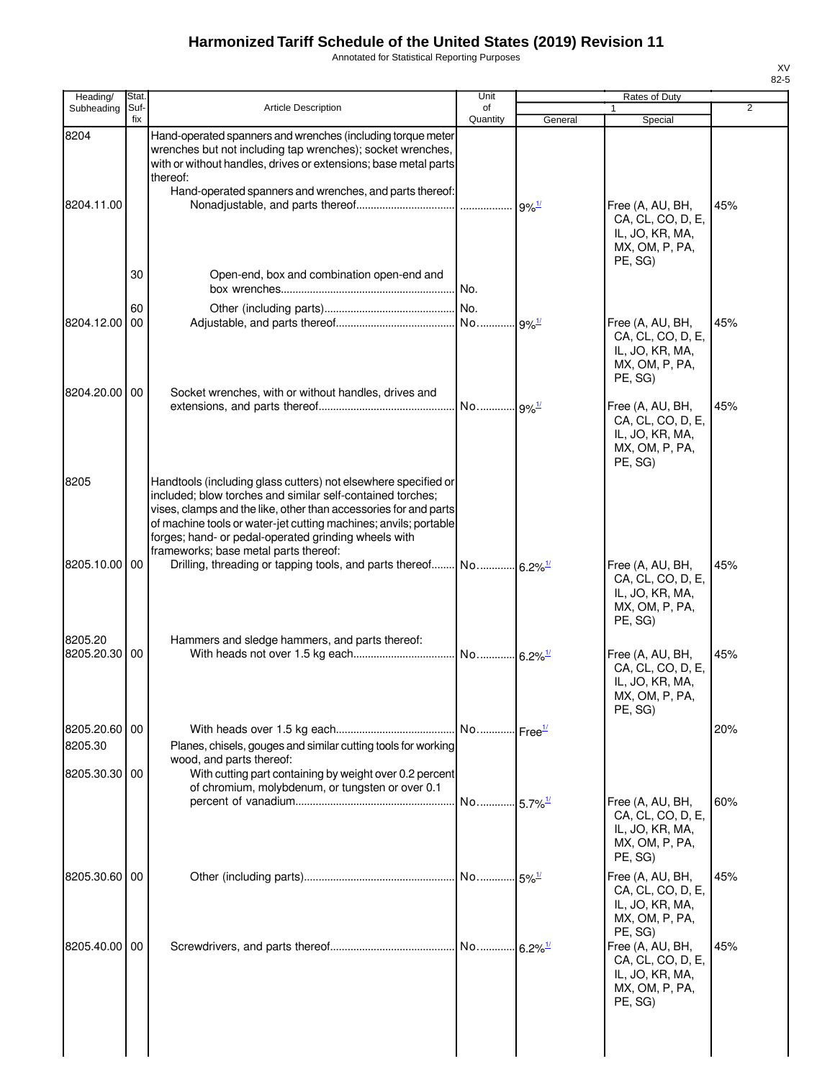Annotated for Statistical Reporting Purposes

| Heading/                    | Stat.       |                                                                                                                                                                                                                                                                                                                                                                       | Unit                  |                          | Rates of Duty                                                                         |                |
|-----------------------------|-------------|-----------------------------------------------------------------------------------------------------------------------------------------------------------------------------------------------------------------------------------------------------------------------------------------------------------------------------------------------------------------------|-----------------------|--------------------------|---------------------------------------------------------------------------------------|----------------|
| Subheading                  | Suf-<br>fix | <b>Article Description</b>                                                                                                                                                                                                                                                                                                                                            | of<br>Quantity        | General                  | Special                                                                               | $\overline{2}$ |
| 8204<br>8204.11.00          |             | Hand-operated spanners and wrenches (including torque meter<br>wrenches but not including tap wrenches); socket wrenches,<br>with or without handles, drives or extensions; base metal parts<br>thereof:<br>Hand-operated spanners and wrenches, and parts thereof:                                                                                                   |                       | $\cdot$ 9% $\frac{1}{2}$ | Free (A, AU, BH,                                                                      | 45%            |
|                             | 30          | Open-end, box and combination open-end and                                                                                                                                                                                                                                                                                                                            | No.                   |                          | CA, CL, CO, D, E,<br>IL, JO, KR, MA,<br>MX, OM, P, PA,<br>PE, SG)                     |                |
|                             | 60          |                                                                                                                                                                                                                                                                                                                                                                       | No.                   |                          |                                                                                       |                |
| 8204.12.00<br>8204.20.00 00 | 00          |                                                                                                                                                                                                                                                                                                                                                                       |                       |                          | Free (A, AU, BH,<br>CA, CL, CO, D, E,<br>IL, JO, KR, MA,<br>MX, OM, P, PA,<br>PE, SG) | 45%            |
|                             |             | Socket wrenches, with or without handles, drives and                                                                                                                                                                                                                                                                                                                  | No 9% <sup>1/</sup>   |                          | Free (A, AU, BH,<br>CA, CL, CO, D, E,<br>IL, JO, KR, MA,<br>MX, OM, P, PA,<br>PE, SG) | 45%            |
| 8205                        |             | Handtools (including glass cutters) not elsewhere specified or<br>included; blow torches and similar self-contained torches;<br>vises, clamps and the like, other than accessories for and parts<br>of machine tools or water-jet cutting machines; anvils; portable<br>forges; hand- or pedal-operated grinding wheels with<br>frameworks; base metal parts thereof: |                       |                          |                                                                                       |                |
| 8205.10.00 00               |             |                                                                                                                                                                                                                                                                                                                                                                       |                       |                          | Free (A, AU, BH,<br>CA, CL, CO, D, E,<br>IL, JO, KR, MA,<br>MX, OM, P, PA,<br>PE, SG) | 45%            |
| 8205.20<br>8205.20.30 00    |             | Hammers and sledge hammers, and parts thereof:                                                                                                                                                                                                                                                                                                                        |                       |                          | Free (A, AU, BH,<br>CA, CL, CO, D, E,<br>IL, JO, KR, MA,<br>MX, OM, P, PA,<br>PE, SG) | 45%            |
| 8205.20.60 00<br>8205.30    |             | Planes, chisels, gouges and similar cutting tools for working<br>wood, and parts thereof:                                                                                                                                                                                                                                                                             | No Free <sup>1/</sup> |                          |                                                                                       | 20%            |
| 8205.30.30 00               |             | With cutting part containing by weight over 0.2 percent<br>of chromium, molybdenum, or tungsten or over 0.1                                                                                                                                                                                                                                                           | No 5.7% <sup>1/</sup> |                          | Free (A, AU, BH,<br>CA, CL, CO, D, E,                                                 | 60%            |
|                             |             |                                                                                                                                                                                                                                                                                                                                                                       |                       |                          | IL, JO, KR, MA,<br>MX, OM, P, PA,<br>PE, SG)                                          |                |
| 8205.30.60 00               |             |                                                                                                                                                                                                                                                                                                                                                                       | No 5% <sup>1/</sup>   |                          | Free (A, AU, BH,<br>CA, CL, CO, D, E,<br>IL, JO, KR, MA,<br>MX, OM, P, PA,<br>PE, SG) | 45%            |
| 8205.40.00 00               |             |                                                                                                                                                                                                                                                                                                                                                                       | No 6.2% <sup>1/</sup> |                          | Free (A, AU, BH,<br>CA, CL, CO, D, E,<br>IL, JO, KR, MA,<br>MX, OM, P, PA,<br>PE, SG) | 45%            |
|                             |             |                                                                                                                                                                                                                                                                                                                                                                       |                       |                          |                                                                                       |                |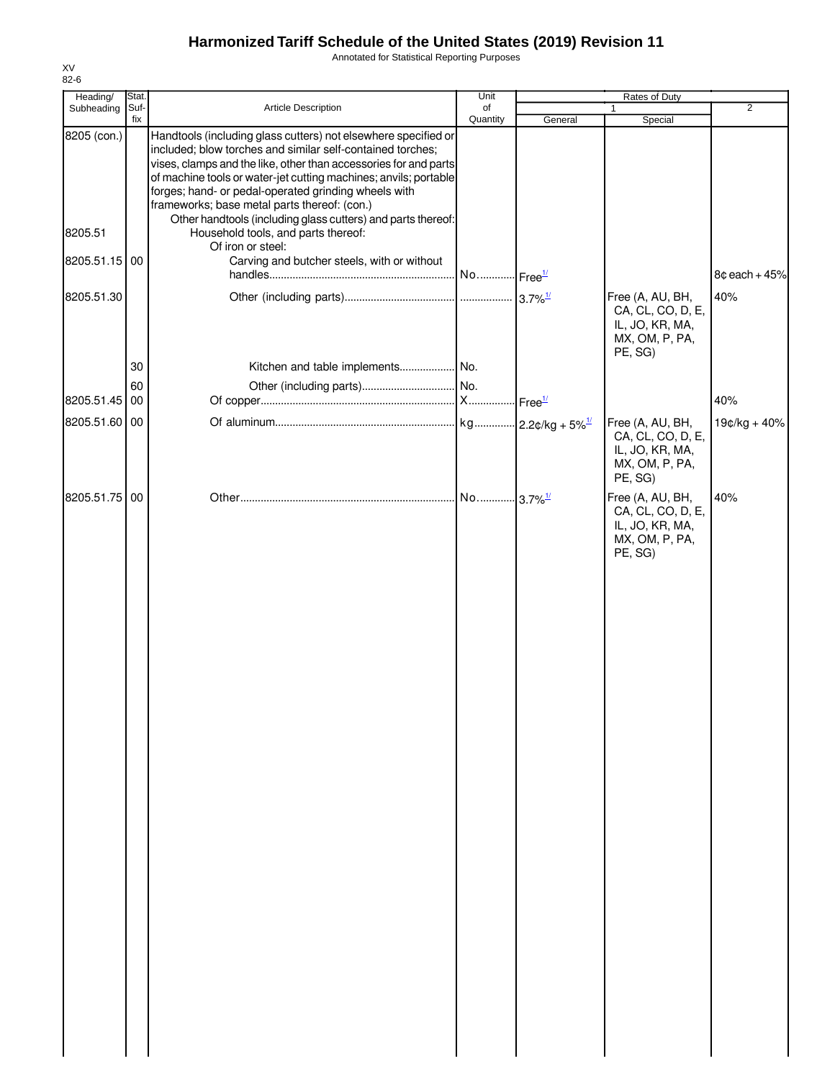Annotated for Statistical Reporting Purposes

| Heading/      | Stat.       |                                                                                                                                                                                                                                                                                                                                                                              | Unit                  | Rates of Duty |                                                                                       |                 |
|---------------|-------------|------------------------------------------------------------------------------------------------------------------------------------------------------------------------------------------------------------------------------------------------------------------------------------------------------------------------------------------------------------------------------|-----------------------|---------------|---------------------------------------------------------------------------------------|-----------------|
| Subheading    | Suf-<br>fix | <b>Article Description</b>                                                                                                                                                                                                                                                                                                                                                   | of<br>Quantity        | General       | $\mathbf{1}$<br>Special                                                               | $\overline{2}$  |
| 8205 (con.)   |             | Handtools (including glass cutters) not elsewhere specified or<br>included; blow torches and similar self-contained torches;<br>vises, clamps and the like, other than accessories for and parts<br>of machine tools or water-jet cutting machines; anvils; portable<br>forges; hand- or pedal-operated grinding wheels with<br>frameworks; base metal parts thereof: (con.) |                       |               |                                                                                       |                 |
| 8205.51       |             | Other handtools (including glass cutters) and parts thereof:<br>Household tools, and parts thereof:<br>Of iron or steel:                                                                                                                                                                                                                                                     |                       |               |                                                                                       |                 |
| 8205.51.15 00 |             | Carving and butcher steels, with or without                                                                                                                                                                                                                                                                                                                                  | No Free <sup>1/</sup> |               |                                                                                       | $8¢$ each + 45% |
| 8205.51.30    |             |                                                                                                                                                                                                                                                                                                                                                                              |                       |               | Free (A, AU, BH,<br>CA, CL, CO, D, E,<br>IL, JO, KR, MA,<br>MX, OM, P, PA,<br>PE, SG) | 40%             |
|               | 30          |                                                                                                                                                                                                                                                                                                                                                                              |                       |               |                                                                                       |                 |
| 8205.51.45    | 60<br>00    |                                                                                                                                                                                                                                                                                                                                                                              |                       |               |                                                                                       | 40%             |
| 8205.51.60 00 |             |                                                                                                                                                                                                                                                                                                                                                                              |                       |               | Free (A, AU, BH,<br>CA, CL, CO, D, E,<br>IL, JO, KR, MA,<br>MX, OM, P, PA,<br>PE, SG) | 19¢/kg + 40%    |
| 8205.51.75 00 |             |                                                                                                                                                                                                                                                                                                                                                                              |                       |               | Free (A, AU, BH,<br>CA, CL, CO, D, E,<br>IL, JO, KR, MA,<br>MX, OM, P, PA,<br>PE, SG) | 40%             |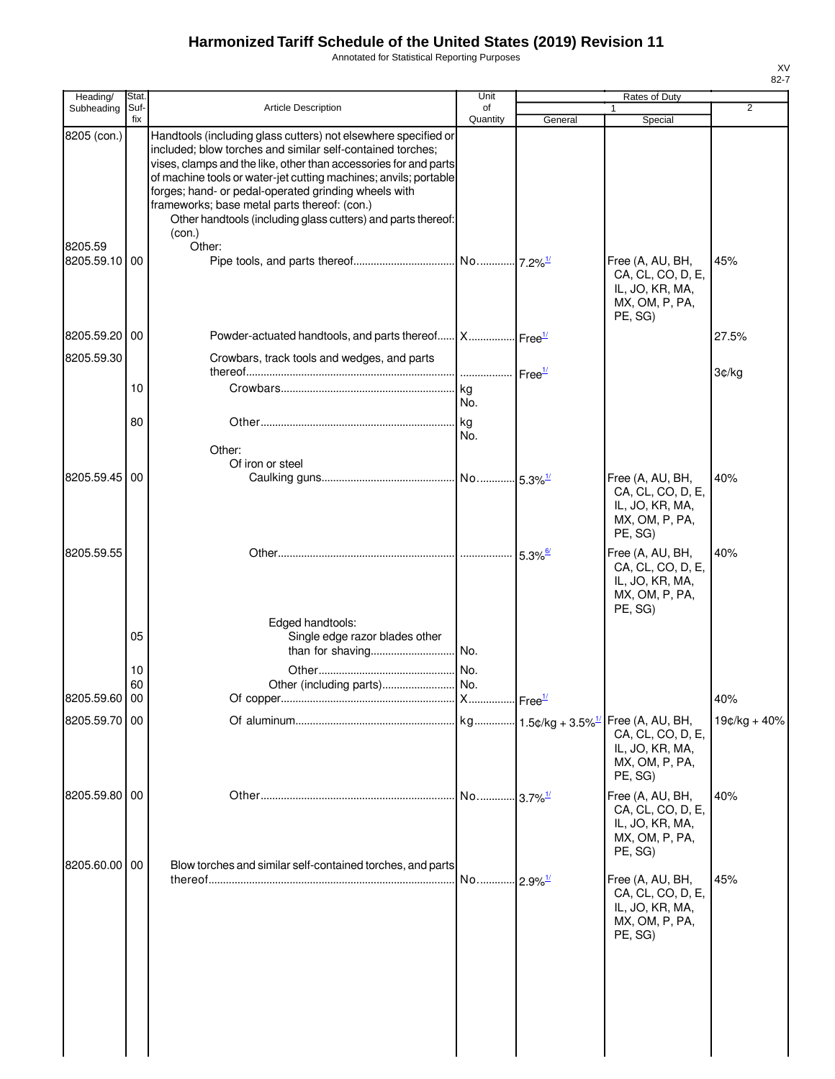Annotated for Statistical Reporting Purposes

| Heading/                       | Stat.       |                                                                                                                                                                                                                                                                                                                                                                                                                                                                  | Unit           |                       | Rates of Duty                                                                         |              |
|--------------------------------|-------------|------------------------------------------------------------------------------------------------------------------------------------------------------------------------------------------------------------------------------------------------------------------------------------------------------------------------------------------------------------------------------------------------------------------------------------------------------------------|----------------|-----------------------|---------------------------------------------------------------------------------------|--------------|
| Subheading                     | Suf-<br>fix | <b>Article Description</b>                                                                                                                                                                                                                                                                                                                                                                                                                                       | of<br>Quantity | General               | Special                                                                               | 2            |
| 8205 (con.)<br>8205.59         |             | Handtools (including glass cutters) not elsewhere specified or<br>included; blow torches and similar self-contained torches;<br>vises, clamps and the like, other than accessories for and parts<br>of machine tools or water-jet cutting machines; anvils; portable<br>forges; hand- or pedal-operated grinding wheels with<br>frameworks; base metal parts thereof: (con.)<br>Other handtools (including glass cutters) and parts thereof:<br>(con.)<br>Other: |                |                       |                                                                                       |              |
| 8205.59.10                     | 00          |                                                                                                                                                                                                                                                                                                                                                                                                                                                                  |                |                       | Free (A, AU, BH,<br>CA, CL, CO, D, E,<br>IL, JO, KR, MA,<br>MX, OM, P, PA,<br>PE, SG) | 45%          |
| 8205.59.20 00                  |             | Powder-actuated handtools, and parts thereof X Free <sup>1/</sup>                                                                                                                                                                                                                                                                                                                                                                                                |                |                       |                                                                                       | 27.5%        |
| 8205.59.30                     |             | Crowbars, track tools and wedges, and parts                                                                                                                                                                                                                                                                                                                                                                                                                      |                |                       |                                                                                       |              |
|                                | 10          |                                                                                                                                                                                                                                                                                                                                                                                                                                                                  | l ka           | Free <sup>1/</sup>    |                                                                                       | 3¢/kg        |
|                                |             |                                                                                                                                                                                                                                                                                                                                                                                                                                                                  | No.            |                       |                                                                                       |              |
|                                | 80          | Other:                                                                                                                                                                                                                                                                                                                                                                                                                                                           | kg<br>No.      |                       |                                                                                       |              |
| 8205.59.45 00                  |             | Of iron or steel                                                                                                                                                                                                                                                                                                                                                                                                                                                 |                |                       | Free (A, AU, BH,                                                                      | 40%          |
|                                |             |                                                                                                                                                                                                                                                                                                                                                                                                                                                                  |                |                       | CA, CL, CO, D, E,<br>IL, JO, KR, MA,<br>MX, OM, P, PA,<br>PE, SG)                     |              |
| 8205.59.55                     |             |                                                                                                                                                                                                                                                                                                                                                                                                                                                                  |                | $5.3\%$ <sup>6/</sup> | Free (A, AU, BH,<br>CA, CL, CO, D, E,<br>IL, JO, KR, MA,<br>MX, OM, P, PA,<br>PE, SG) | 40%          |
|                                | 05          | Edged handtools:<br>Single edge razor blades other                                                                                                                                                                                                                                                                                                                                                                                                               |                |                       |                                                                                       |              |
|                                | 10          |                                                                                                                                                                                                                                                                                                                                                                                                                                                                  |                |                       |                                                                                       |              |
|                                | 60          |                                                                                                                                                                                                                                                                                                                                                                                                                                                                  |                |                       |                                                                                       |              |
| 8205.59.60 00<br>8205.59.70 00 |             |                                                                                                                                                                                                                                                                                                                                                                                                                                                                  |                |                       |                                                                                       | 40%          |
|                                |             |                                                                                                                                                                                                                                                                                                                                                                                                                                                                  |                |                       | CA, CL, CO, D, E,<br>IL, JO, KR, MA,<br>MX, OM, P, PA,<br>PE, SG)                     | 19¢/kg + 40% |
| 8205.59.80 00                  |             |                                                                                                                                                                                                                                                                                                                                                                                                                                                                  |                |                       | Free (A, AU, BH,<br>CA, CL, CO, D, E,<br>IL, JO, KR, MA,<br>MX, OM, P, PA,<br>PE, SG) | 40%          |
| 8205.60.00 00                  |             | Blow torches and similar self-contained torches, and parts                                                                                                                                                                                                                                                                                                                                                                                                       |                |                       | Free (A, AU, BH,<br>CA, CL, CO, D, E,<br>IL, JO, KR, MA,<br>MX, OM, P, PA,<br>PE, SG) | 45%          |
|                                |             |                                                                                                                                                                                                                                                                                                                                                                                                                                                                  |                |                       |                                                                                       |              |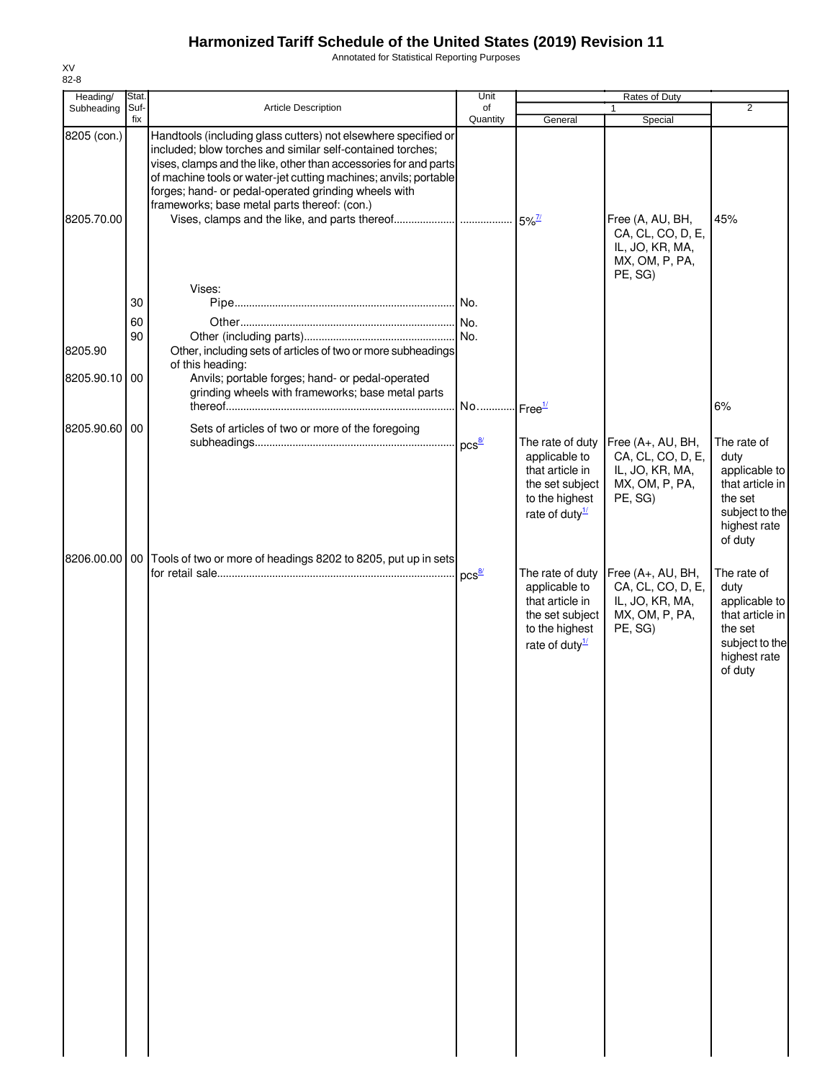Annotated for Statistical Reporting Purposes

| Heading/      | Stat. |                                                                  | Unit                  |                                  | Rates of Duty                        |                                |
|---------------|-------|------------------------------------------------------------------|-----------------------|----------------------------------|--------------------------------------|--------------------------------|
| Subheading    | Suf-  | Article Description                                              | of                    |                                  |                                      | $\overline{2}$                 |
| 8205 (con.)   | fix   | Handtools (including glass cutters) not elsewhere specified or   | Quantity              | General                          | Special                              |                                |
|               |       | included; blow torches and similar self-contained torches;       |                       |                                  |                                      |                                |
|               |       | vises, clamps and the like, other than accessories for and parts |                       |                                  |                                      |                                |
|               |       | of machine tools or water-jet cutting machines; anvils; portable |                       |                                  |                                      |                                |
|               |       | forges; hand- or pedal-operated grinding wheels with             |                       |                                  |                                      |                                |
|               |       | frameworks; base metal parts thereof: (con.)                     |                       |                                  |                                      |                                |
| 8205.70.00    |       |                                                                  |                       |                                  | Free (A, AU, BH,                     | 45%                            |
|               |       |                                                                  |                       |                                  | CA, CL, CO, D, E,                    |                                |
|               |       |                                                                  |                       |                                  | IL, JO, KR, MA,                      |                                |
|               |       |                                                                  |                       |                                  | MX, OM, P, PA,                       |                                |
|               |       |                                                                  |                       |                                  | PE, SG)                              |                                |
|               |       | Vises:                                                           |                       |                                  |                                      |                                |
|               | 30    |                                                                  |                       |                                  |                                      |                                |
|               | 60    |                                                                  |                       |                                  |                                      |                                |
|               | 90    |                                                                  |                       |                                  |                                      |                                |
| 8205.90       |       | Other, including sets of articles of two or more subheadings     |                       |                                  |                                      |                                |
|               |       | of this heading:                                                 |                       |                                  |                                      |                                |
| 8205.90.10 00 |       | Anvils; portable forges; hand- or pedal-operated                 |                       |                                  |                                      |                                |
|               |       | grinding wheels with frameworks; base metal parts                |                       |                                  |                                      |                                |
|               |       |                                                                  | No Free <sup>1/</sup> |                                  |                                      | 6%                             |
| 8205.90.60 00 |       | Sets of articles of two or more of the foregoing                 |                       |                                  |                                      |                                |
|               |       |                                                                  | $pcs^{\frac{8}{2}}$   | The rate of duty                 | Free (A+, AU, BH,                    | The rate of                    |
|               |       |                                                                  |                       | applicable to                    | CA, CL, CO, D, E,                    | duty                           |
|               |       |                                                                  |                       | that article in                  | IL, JO, KR, MA,                      | applicable to                  |
|               |       |                                                                  |                       | the set subject                  | MX, OM, P, PA,                       | that article in                |
|               |       |                                                                  |                       | to the highest                   | PE, SG)                              | the set                        |
|               |       |                                                                  |                       | rate of duty $\frac{1}{2}$       |                                      | subject to the<br>highest rate |
|               |       |                                                                  |                       |                                  |                                      | of duty                        |
|               |       |                                                                  |                       |                                  |                                      |                                |
| 8206.00.00 00 |       | Tools of two or more of headings 8202 to 8205, put up in sets    |                       |                                  |                                      |                                |
|               |       |                                                                  | $pcs^{\frac{8}{2}}$   | The rate of duty                 | Free (A+, AU, BH,                    | The rate of                    |
|               |       |                                                                  |                       | applicable to<br>that article in | CA, CL, CO, D, E,<br>IL, JO, KR, MA, | duty<br>applicable to          |
|               |       |                                                                  |                       | the set subject                  | MX, OM, P, PA,                       | that article in                |
|               |       |                                                                  |                       | to the highest                   | PE, SG)                              | the set                        |
|               |       |                                                                  |                       | rate of duty $\frac{1}{2}$       |                                      | subject to the                 |
|               |       |                                                                  |                       |                                  |                                      | highest rate                   |
|               |       |                                                                  |                       |                                  |                                      | of duty                        |
|               |       |                                                                  |                       |                                  |                                      |                                |
|               |       |                                                                  |                       |                                  |                                      |                                |
|               |       |                                                                  |                       |                                  |                                      |                                |
|               |       |                                                                  |                       |                                  |                                      |                                |
|               |       |                                                                  |                       |                                  |                                      |                                |
|               |       |                                                                  |                       |                                  |                                      |                                |
|               |       |                                                                  |                       |                                  |                                      |                                |
|               |       |                                                                  |                       |                                  |                                      |                                |
|               |       |                                                                  |                       |                                  |                                      |                                |
|               |       |                                                                  |                       |                                  |                                      |                                |
|               |       |                                                                  |                       |                                  |                                      |                                |
|               |       |                                                                  |                       |                                  |                                      |                                |
|               |       |                                                                  |                       |                                  |                                      |                                |
|               |       |                                                                  |                       |                                  |                                      |                                |
|               |       |                                                                  |                       |                                  |                                      |                                |
|               |       |                                                                  |                       |                                  |                                      |                                |
|               |       |                                                                  |                       |                                  |                                      |                                |
|               |       |                                                                  |                       |                                  |                                      |                                |
|               |       |                                                                  |                       |                                  |                                      |                                |
|               |       |                                                                  |                       |                                  |                                      |                                |
|               |       |                                                                  |                       |                                  |                                      |                                |
|               |       |                                                                  |                       |                                  |                                      |                                |
|               |       |                                                                  |                       |                                  |                                      |                                |
|               |       |                                                                  |                       |                                  |                                      |                                |
|               |       |                                                                  |                       |                                  |                                      |                                |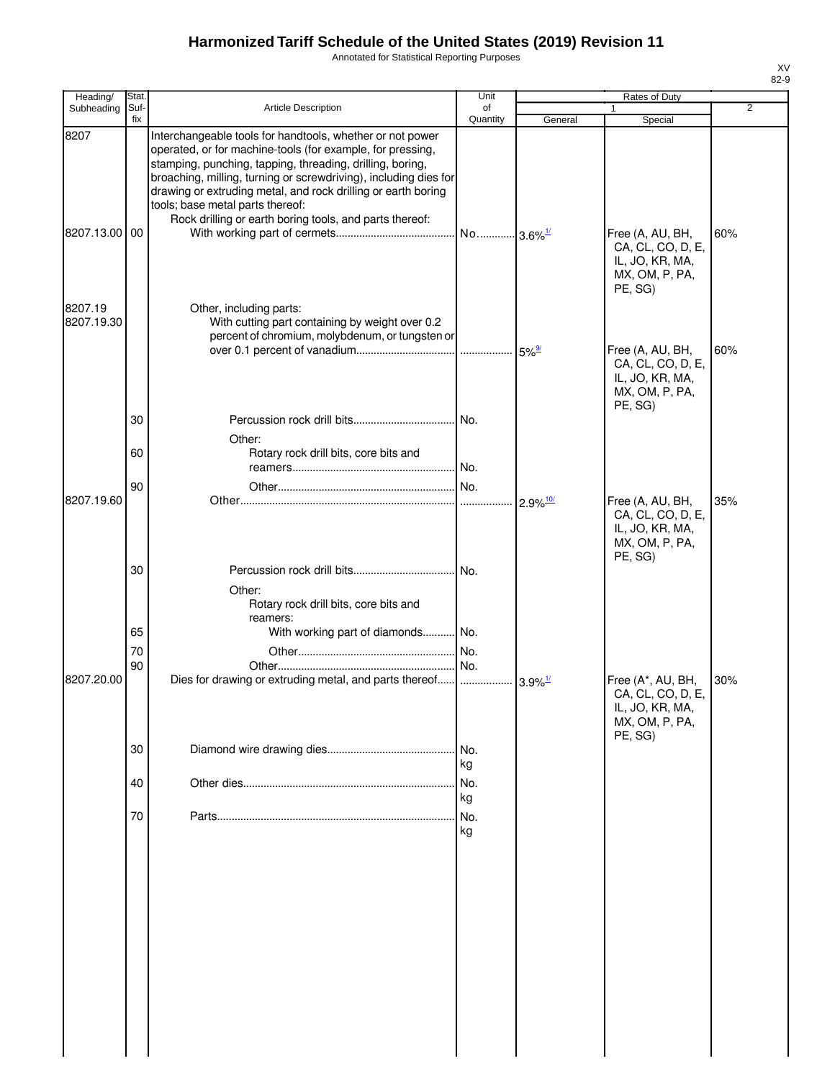Annotated for Statistical Reporting Purposes

| Heading/              | Stat.       |                                                                                                                                                                                                                                                                                                                                                               | Unit           |                        |                                                                                        | Rates of Duty |  |  |
|-----------------------|-------------|---------------------------------------------------------------------------------------------------------------------------------------------------------------------------------------------------------------------------------------------------------------------------------------------------------------------------------------------------------------|----------------|------------------------|----------------------------------------------------------------------------------------|---------------|--|--|
| Subheading            | Suf-<br>fix | <b>Article Description</b>                                                                                                                                                                                                                                                                                                                                    | of<br>Quantity | General                | Special                                                                                | 2             |  |  |
| 8207                  |             | Interchangeable tools for handtools, whether or not power<br>operated, or for machine-tools (for example, for pressing,<br>stamping, punching, tapping, threading, drilling, boring,<br>broaching, milling, turning or screwdriving), including dies for<br>drawing or extruding metal, and rock drilling or earth boring<br>tools; base metal parts thereof: |                |                        |                                                                                        |               |  |  |
| 8207.13.00 00         |             | Rock drilling or earth boring tools, and parts thereof:                                                                                                                                                                                                                                                                                                       |                | $-3.6\%$ <sup>1/</sup> | Free (A, AU, BH,<br>CA, CL, CO, D, E,<br>IL, JO, KR, MA,<br>MX, OM, P, PA,<br>PE, SG)  | 60%           |  |  |
| 8207.19<br>8207.19.30 |             | Other, including parts:<br>With cutting part containing by weight over 0.2<br>percent of chromium, molybdenum, or tungsten or                                                                                                                                                                                                                                 |                | $5\%$ <sup>9/</sup>    | Free (A, AU, BH,<br>CA, CL, CO, D, E,<br>IL, JO, KR, MA,<br>MX, OM, P, PA,             | 60%           |  |  |
|                       | 30<br>60    | Other:<br>Rotary rock drill bits, core bits and                                                                                                                                                                                                                                                                                                               | No.            |                        | PE, SG)                                                                                |               |  |  |
|                       |             |                                                                                                                                                                                                                                                                                                                                                               | No.            |                        |                                                                                        |               |  |  |
| 8207.19.60            | 90          |                                                                                                                                                                                                                                                                                                                                                               | No.<br>        | $2.9\%$ <sup>10/</sup> | Free (A, AU, BH,<br>CA, CL, CO, D, E,<br>IL, JO, KR, MA,<br>MX, OM, P, PA,<br>PE, SG)  | 35%           |  |  |
|                       | 30          | Other:<br>Rotary rock drill bits, core bits and                                                                                                                                                                                                                                                                                                               | No.            |                        |                                                                                        |               |  |  |
|                       | 65          | reamers:<br>With working part of diamonds No.                                                                                                                                                                                                                                                                                                                 |                |                        |                                                                                        |               |  |  |
|                       | 70          |                                                                                                                                                                                                                                                                                                                                                               | No.            |                        |                                                                                        |               |  |  |
| 8207.20.00            | 90          | Dies for drawing or extruding metal, and parts thereof                                                                                                                                                                                                                                                                                                        | No.            | $3.9\%$ <sup>1/</sup>  | Free (A*, AU, BH,<br>CA, CL, CO, D, E,<br>IL, JO, KR, MA,<br>MX, OM, P, PA,<br>PE, SG) | 30%           |  |  |
|                       | 30          |                                                                                                                                                                                                                                                                                                                                                               | No.<br>kg      |                        |                                                                                        |               |  |  |
|                       | 40          |                                                                                                                                                                                                                                                                                                                                                               | No.<br>kg      |                        |                                                                                        |               |  |  |
|                       | 70          |                                                                                                                                                                                                                                                                                                                                                               | No.<br>kg      |                        |                                                                                        |               |  |  |
|                       |             |                                                                                                                                                                                                                                                                                                                                                               |                |                        |                                                                                        |               |  |  |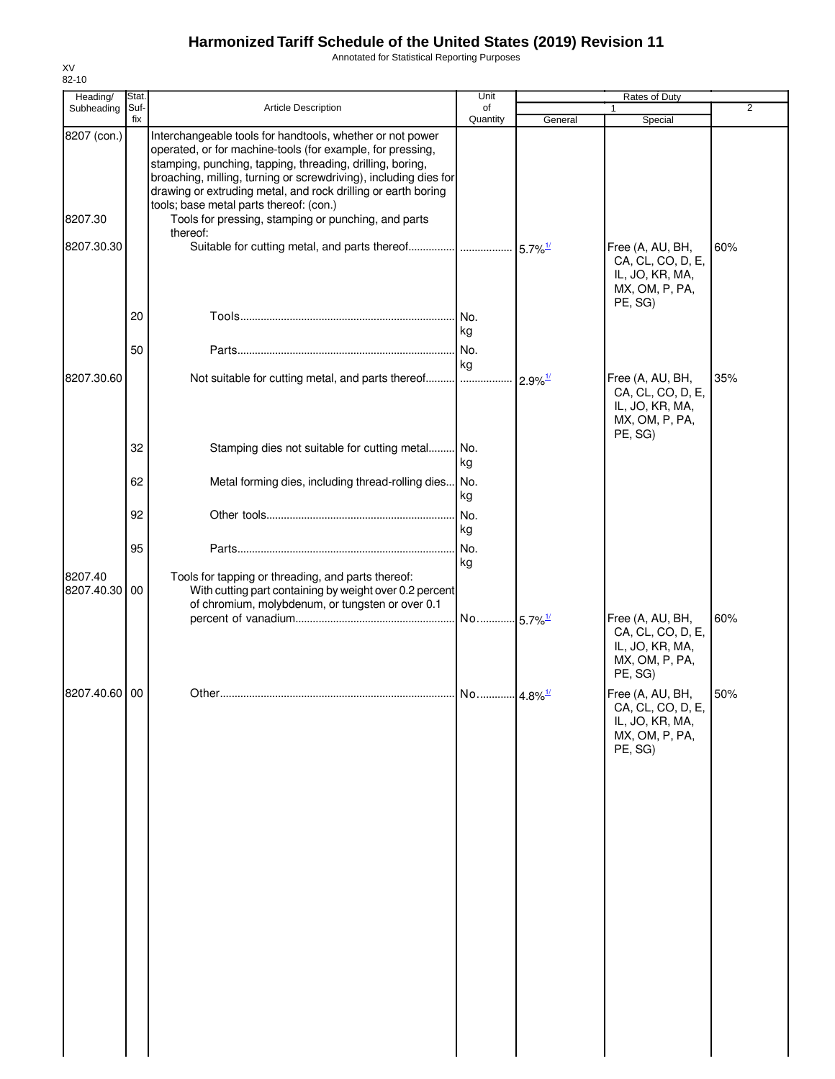Annotated for Statistical Reporting Purposes

| Heading/              | Stat.<br>Suf- | Article Description                                                                                                                                                                                                                                                                                                                                                  | Unit<br>of             |                       | <b>Rates of Duty</b>                                                                  | $\overline{2}$ |
|-----------------------|---------------|----------------------------------------------------------------------------------------------------------------------------------------------------------------------------------------------------------------------------------------------------------------------------------------------------------------------------------------------------------------------|------------------------|-----------------------|---------------------------------------------------------------------------------------|----------------|
| Subheading            | fix           |                                                                                                                                                                                                                                                                                                                                                                      | Quantity               | General               | Special                                                                               |                |
| 8207 (con.)           |               | Interchangeable tools for handtools, whether or not power<br>operated, or for machine-tools (for example, for pressing,<br>stamping, punching, tapping, threading, drilling, boring,<br>broaching, milling, turning or screwdriving), including dies for<br>drawing or extruding metal, and rock drilling or earth boring<br>tools; base metal parts thereof: (con.) |                        |                       |                                                                                       |                |
| 8207.30               |               | Tools for pressing, stamping or punching, and parts<br>thereof:                                                                                                                                                                                                                                                                                                      |                        |                       |                                                                                       |                |
| 8207.30.30            |               | Suitable for cutting metal, and parts thereof    5.7% <sup>1/</sup>                                                                                                                                                                                                                                                                                                  |                        |                       | Free (A, AU, BH,<br>CA, CL, CO, D, E,<br>IL, JO, KR, MA,<br>MX, OM, P, PA,<br>PE, SG) | 60%            |
|                       | 20            |                                                                                                                                                                                                                                                                                                                                                                      | No.<br>kg              |                       |                                                                                       |                |
|                       | 50            |                                                                                                                                                                                                                                                                                                                                                                      | No.<br>kg              |                       |                                                                                       |                |
| 8207.30.60            |               | Not suitable for cutting metal, and parts thereof                                                                                                                                                                                                                                                                                                                    |                        | $2.9\%$ <sup>1/</sup> | Free (A, AU, BH,<br>CA, CL, CO, D, E,<br>IL, JO, KR, MA,<br>MX, OM, P, PA,<br>PE, SG) | 35%            |
|                       | 32            | Stamping dies not suitable for cutting metal                                                                                                                                                                                                                                                                                                                         | No.<br>kg              |                       |                                                                                       |                |
|                       | 62            | Metal forming dies, including thread-rolling dies No.                                                                                                                                                                                                                                                                                                                | kg                     |                       |                                                                                       |                |
|                       | 92            |                                                                                                                                                                                                                                                                                                                                                                      | No.<br>kg              |                       |                                                                                       |                |
|                       | 95            |                                                                                                                                                                                                                                                                                                                                                                      | No.<br>kg              |                       |                                                                                       |                |
| 8207.40<br>8207.40.30 | 00            | Tools for tapping or threading, and parts thereof:<br>With cutting part containing by weight over 0.2 percent<br>of chromium, molybdenum, or tungsten or over 0.1                                                                                                                                                                                                    |                        |                       |                                                                                       |                |
|                       |               |                                                                                                                                                                                                                                                                                                                                                                      | No 5.7% <sup>1/</sup>  |                       | Free (A, AU, BH,<br>CA, CL, CO, D, E,<br>IL, JO, KR, MA,<br>MX, OM, P, PA,<br>PE, SG) | 60%            |
| 8207.40.60 00         |               |                                                                                                                                                                                                                                                                                                                                                                      | No  4.8% <sup>1/</sup> |                       | Free (A, AU, BH,<br>CA, CL, CO, D, E,<br>IL, JO, KR, MA,<br>MX, OM, P, PA,<br>PE, SG) | 50%            |
|                       |               |                                                                                                                                                                                                                                                                                                                                                                      |                        |                       |                                                                                       |                |
|                       |               |                                                                                                                                                                                                                                                                                                                                                                      |                        |                       |                                                                                       |                |
|                       |               |                                                                                                                                                                                                                                                                                                                                                                      |                        |                       |                                                                                       |                |
|                       |               |                                                                                                                                                                                                                                                                                                                                                                      |                        |                       |                                                                                       |                |
|                       |               |                                                                                                                                                                                                                                                                                                                                                                      |                        |                       |                                                                                       |                |
|                       |               |                                                                                                                                                                                                                                                                                                                                                                      |                        |                       |                                                                                       |                |
|                       |               |                                                                                                                                                                                                                                                                                                                                                                      |                        |                       |                                                                                       |                |

XV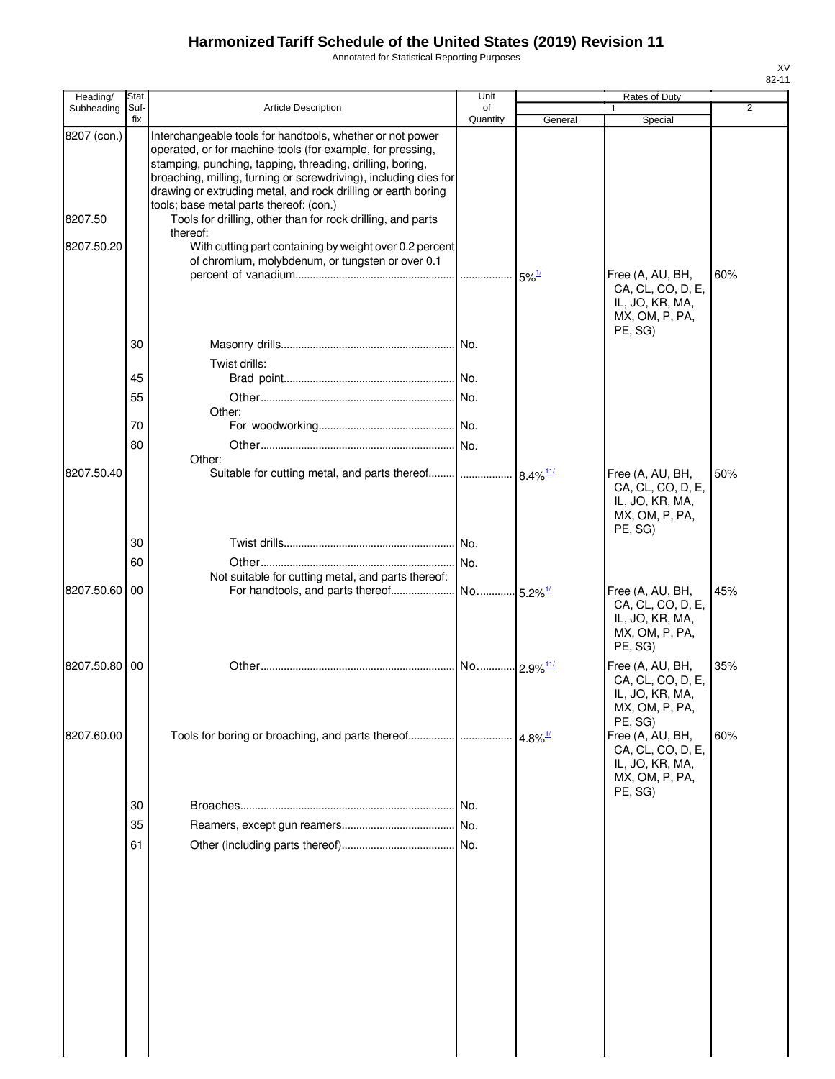Annotated for Statistical Reporting Purposes

| Heading/      | Stat.       |                                                                                                                                                                                                                                                                                                                           | Unit           |                         | Rates of Duty                                                                         |                |
|---------------|-------------|---------------------------------------------------------------------------------------------------------------------------------------------------------------------------------------------------------------------------------------------------------------------------------------------------------------------------|----------------|-------------------------|---------------------------------------------------------------------------------------|----------------|
| Subheading    | Suf-<br>fix | <b>Article Description</b>                                                                                                                                                                                                                                                                                                | of<br>Quantity | General                 | Special                                                                               | $\overline{2}$ |
| 8207 (con.)   |             | Interchangeable tools for handtools, whether or not power<br>operated, or for machine-tools (for example, for pressing,<br>stamping, punching, tapping, threading, drilling, boring,<br>broaching, milling, turning or screwdriving), including dies for<br>drawing or extruding metal, and rock drilling or earth boring |                |                         |                                                                                       |                |
| 8207.50       |             | tools; base metal parts thereof: (con.)<br>Tools for drilling, other than for rock drilling, and parts<br>thereof:                                                                                                                                                                                                        |                |                         |                                                                                       |                |
| 8207.50.20    |             | With cutting part containing by weight over 0.2 percent<br>of chromium, molybdenum, or tungsten or over 0.1                                                                                                                                                                                                               |                | $5\%$ <sup>1/</sup>     | Free (A, AU, BH,                                                                      | 60%            |
|               |             |                                                                                                                                                                                                                                                                                                                           |                |                         | CA, CL, CO, D, E,<br>IL, JO, KR, MA,<br>MX, OM, P, PA,<br>PE, SG)                     |                |
|               | 30          | Twist drills:                                                                                                                                                                                                                                                                                                             |                |                         |                                                                                       |                |
|               | 45          |                                                                                                                                                                                                                                                                                                                           |                |                         |                                                                                       |                |
|               | 55          | Other:                                                                                                                                                                                                                                                                                                                    |                |                         |                                                                                       |                |
|               | 70          |                                                                                                                                                                                                                                                                                                                           |                |                         |                                                                                       |                |
|               | 80          |                                                                                                                                                                                                                                                                                                                           | No.            |                         |                                                                                       |                |
| 8207.50.40    |             | Other:<br>Suitable for cutting metal, and parts thereof                                                                                                                                                                                                                                                                   |                | $8.4\%$ <sup>11/</sup>  | Free (A, AU, BH,<br>CA, CL, CO, D, E,                                                 | 50%            |
|               | 30          |                                                                                                                                                                                                                                                                                                                           |                |                         | IL, JO, KR, MA,<br>MX, OM, P, PA,<br>PE, SG)                                          |                |
|               |             |                                                                                                                                                                                                                                                                                                                           |                |                         |                                                                                       |                |
|               | 60          | Not suitable for cutting metal, and parts thereof:                                                                                                                                                                                                                                                                        |                |                         |                                                                                       |                |
| 8207.50.60 00 |             | For handtools, and parts thereof                                                                                                                                                                                                                                                                                          | No             | $-5.2\%$ <sup>1/</sup>  | Free (A, AU, BH,<br>CA, CL, CO, D, E,<br>IL, JO, KR, MA,<br>MX, OM, P, PA,<br>PE, SG) | 45%            |
| 8207.50.80 00 |             |                                                                                                                                                                                                                                                                                                                           | No             | $-2.9\%$ <sup>11/</sup> | Free (A, AU, BH,<br>CA, CL, CO, D, E,<br>IL, JO, KR, MA,<br>MX, OM, P, PA,<br>PE, SG) | 35%            |
| 8207.60.00    |             | Tools for boring or broaching, and parts thereof                                                                                                                                                                                                                                                                          |                | 4.8% $\frac{1}{2}$      | Free (A, AU, BH,<br>CA, CL, CO, D, E,<br>IL, JO, KR, MA,<br>MX, OM, P, PA,<br>PE, SG) | 60%            |
|               | 30          |                                                                                                                                                                                                                                                                                                                           | No.            |                         |                                                                                       |                |
|               | 35          |                                                                                                                                                                                                                                                                                                                           |                |                         |                                                                                       |                |
|               | 61          |                                                                                                                                                                                                                                                                                                                           |                |                         |                                                                                       |                |
|               |             |                                                                                                                                                                                                                                                                                                                           |                |                         |                                                                                       |                |
|               |             |                                                                                                                                                                                                                                                                                                                           |                |                         |                                                                                       |                |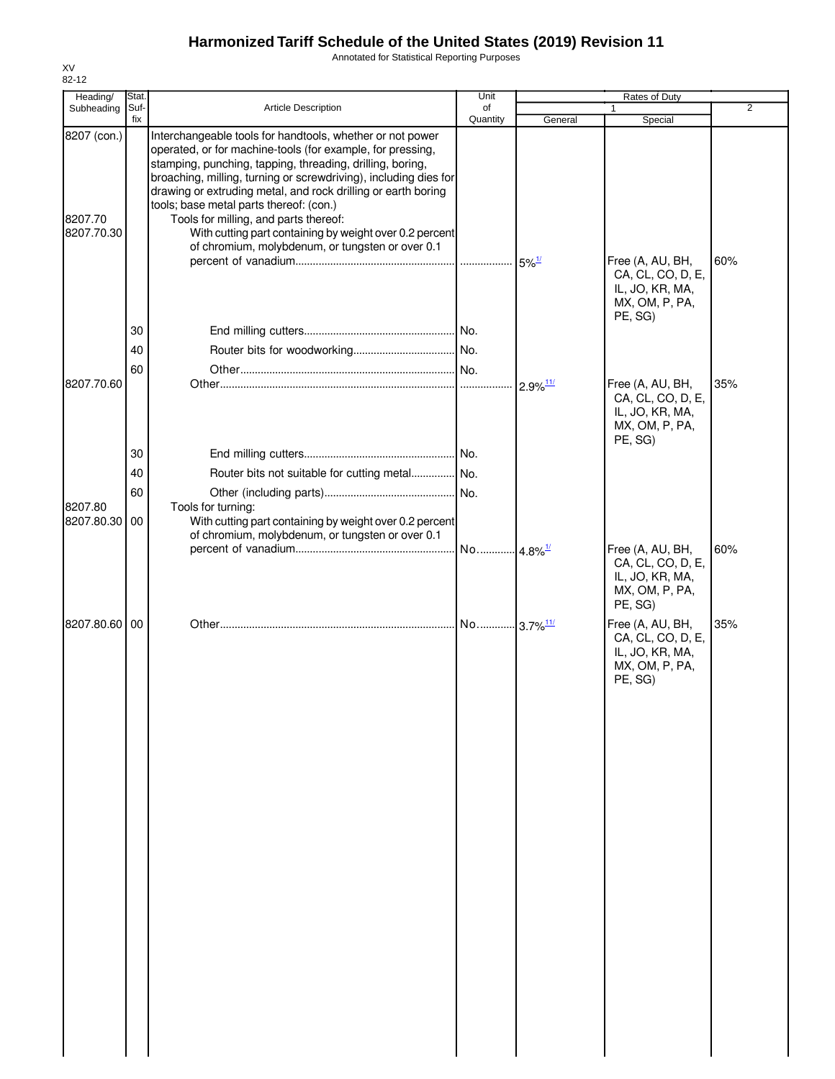Annotated for Statistical Reporting Purposes

| Heading/                             | Stat.       |                                                                                                                                                                                                                                                                                                                                                                                                                                                                                                                              | Unit             | Rates of Duty<br>$\overline{2}$ |                                                                                       |     |  |
|--------------------------------------|-------------|------------------------------------------------------------------------------------------------------------------------------------------------------------------------------------------------------------------------------------------------------------------------------------------------------------------------------------------------------------------------------------------------------------------------------------------------------------------------------------------------------------------------------|------------------|---------------------------------|---------------------------------------------------------------------------------------|-----|--|
| Subheading                           | Suf-<br>fix | <b>Article Description</b>                                                                                                                                                                                                                                                                                                                                                                                                                                                                                                   | of<br>Quantity   | General                         | Special                                                                               |     |  |
| 8207 (con.)<br>8207.70<br>8207.70.30 |             | Interchangeable tools for handtools, whether or not power<br>operated, or for machine-tools (for example, for pressing,<br>stamping, punching, tapping, threading, drilling, boring,<br>broaching, milling, turning or screwdriving), including dies for<br>drawing or extruding metal, and rock drilling or earth boring<br>tools; base metal parts thereof: (con.)<br>Tools for milling, and parts thereof:<br>With cutting part containing by weight over 0.2 percent<br>of chromium, molybdenum, or tungsten or over 0.1 |                  |                                 |                                                                                       |     |  |
|                                      |             |                                                                                                                                                                                                                                                                                                                                                                                                                                                                                                                              |                  | $5\%$ <sup>1/</sup>             | Free (A, AU, BH,<br>CA, CL, CO, D, E,<br>IL, JO, KR, MA,<br>MX, OM, P, PA,<br>PE, SG) | 60% |  |
|                                      | 30          |                                                                                                                                                                                                                                                                                                                                                                                                                                                                                                                              |                  |                                 |                                                                                       |     |  |
|                                      | 40          |                                                                                                                                                                                                                                                                                                                                                                                                                                                                                                                              |                  |                                 |                                                                                       |     |  |
| 8207.70.60                           | 60          |                                                                                                                                                                                                                                                                                                                                                                                                                                                                                                                              |                  | $2.9\%$ <sup>11/</sup>          | Free (A, AU, BH,<br>CA, CL, CO, D, E,<br>IL, JO, KR, MA,                              | 35% |  |
|                                      |             |                                                                                                                                                                                                                                                                                                                                                                                                                                                                                                                              |                  |                                 | MX, OM, P, PA,<br>PE, SG)                                                             |     |  |
|                                      | 30          |                                                                                                                                                                                                                                                                                                                                                                                                                                                                                                                              |                  |                                 |                                                                                       |     |  |
|                                      | 40          | Router bits not suitable for cutting metal No.                                                                                                                                                                                                                                                                                                                                                                                                                                                                               |                  |                                 |                                                                                       |     |  |
|                                      | 60          |                                                                                                                                                                                                                                                                                                                                                                                                                                                                                                                              |                  |                                 |                                                                                       |     |  |
| 8207.80<br>8207.80.30 00             |             | Tools for turning:<br>With cutting part containing by weight over 0.2 percent<br>of chromium, molybdenum, or tungsten or over 0.1                                                                                                                                                                                                                                                                                                                                                                                            |                  |                                 |                                                                                       |     |  |
|                                      |             |                                                                                                                                                                                                                                                                                                                                                                                                                                                                                                                              | . <b> </b> No……… | $4.8\%$ <sup>1/</sup>           | Free (A, AU, BH,<br>CA, CL, CO, D, E,<br>IL, JO, KR, MA,<br>MX, OM, P, PA,<br>PE, SG) | 60% |  |
| 8207.80.60 00                        |             |                                                                                                                                                                                                                                                                                                                                                                                                                                                                                                                              |                  |                                 | Free (A, AU, BH,<br>CA, CL, CO, D, E,<br>IL, JO, KR, MA,<br>MX, OM, P, PA,<br>PE, SG) | 35% |  |
|                                      |             |                                                                                                                                                                                                                                                                                                                                                                                                                                                                                                                              |                  |                                 |                                                                                       |     |  |
|                                      |             |                                                                                                                                                                                                                                                                                                                                                                                                                                                                                                                              |                  |                                 |                                                                                       |     |  |
|                                      |             |                                                                                                                                                                                                                                                                                                                                                                                                                                                                                                                              |                  |                                 |                                                                                       |     |  |
|                                      |             |                                                                                                                                                                                                                                                                                                                                                                                                                                                                                                                              |                  |                                 |                                                                                       |     |  |
|                                      |             |                                                                                                                                                                                                                                                                                                                                                                                                                                                                                                                              |                  |                                 |                                                                                       |     |  |
|                                      |             |                                                                                                                                                                                                                                                                                                                                                                                                                                                                                                                              |                  |                                 |                                                                                       |     |  |
|                                      |             |                                                                                                                                                                                                                                                                                                                                                                                                                                                                                                                              |                  |                                 |                                                                                       |     |  |
|                                      |             |                                                                                                                                                                                                                                                                                                                                                                                                                                                                                                                              |                  |                                 |                                                                                       |     |  |

XV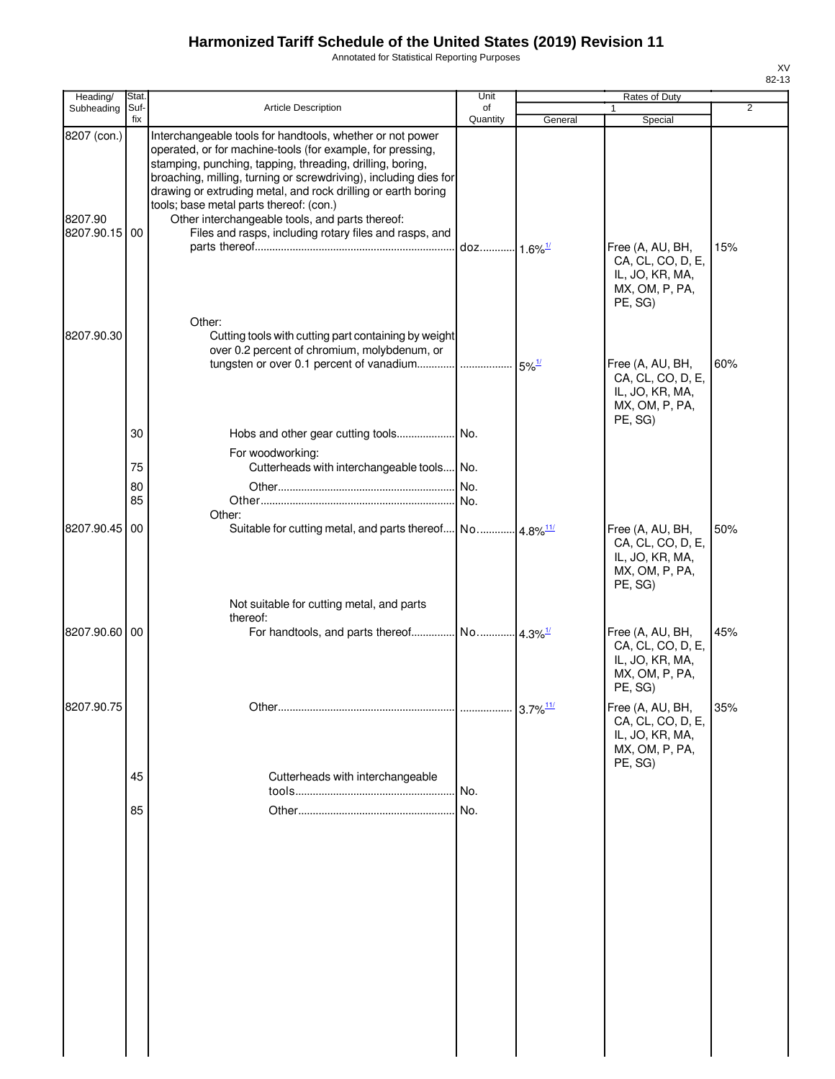Annotated for Statistical Reporting Purposes

| Heading/                                | Stat.                |                                                                                                                                                                                                                                                                                                                                                                                                                                                                                   | Unit           |                        | Rates of Duty                                                                         |     |
|-----------------------------------------|----------------------|-----------------------------------------------------------------------------------------------------------------------------------------------------------------------------------------------------------------------------------------------------------------------------------------------------------------------------------------------------------------------------------------------------------------------------------------------------------------------------------|----------------|------------------------|---------------------------------------------------------------------------------------|-----|
| Subheading                              | Suf-<br>fix          | <b>Article Description</b>                                                                                                                                                                                                                                                                                                                                                                                                                                                        | of<br>Quantity | General                | 1<br>Special                                                                          | 2   |
| 8207 (con.)<br>8207.90<br>8207.90.15 00 |                      | Interchangeable tools for handtools, whether or not power<br>operated, or for machine-tools (for example, for pressing,<br>stamping, punching, tapping, threading, drilling, boring,<br>broaching, milling, turning or screwdriving), including dies for<br>drawing or extruding metal, and rock drilling or earth boring<br>tools; base metal parts thereof: (con.)<br>Other interchangeable tools, and parts thereof:<br>Files and rasps, including rotary files and rasps, and |                |                        | Free (A, AU, BH,<br>CA, CL, CO, D, E,<br>IL, JO, KR, MA,<br>MX, OM, P, PA,<br>PE, SG) | 15% |
| 8207.90.30                              |                      | Other:<br>Cutting tools with cutting part containing by weight<br>over 0.2 percent of chromium, molybdenum, or                                                                                                                                                                                                                                                                                                                                                                    |                |                        | Free (A, AU, BH,<br>CA, CL, CO, D, E,<br>IL, JO, KR, MA,<br>MX, OM, P, PA,<br>PE, SG) | 60% |
|                                         | 30<br>75<br>80<br>85 | For woodworking:<br>Cutterheads with interchangeable tools No.<br>Other:                                                                                                                                                                                                                                                                                                                                                                                                          | No.<br>No.     |                        |                                                                                       |     |
| 8207.90.45                              | 00                   | Suitable for cutting metal, and parts thereof No 4.8% <sup>11/</sup><br>Not suitable for cutting metal, and parts                                                                                                                                                                                                                                                                                                                                                                 |                |                        | Free (A, AU, BH,<br>CA, CL, CO, D, E,<br>IL, JO, KR, MA,<br>MX, OM, P, PA,<br>PE, SG) | 50% |
| 8207.90.60 00                           |                      | thereof:                                                                                                                                                                                                                                                                                                                                                                                                                                                                          |                |                        | Free (A, AU, BH,<br>CA, CL, CO, D, E,<br>IL, JO, KR, MA,<br>MX, OM, P, PA,<br>PE, SG) | 45% |
| 8207.90.75                              |                      |                                                                                                                                                                                                                                                                                                                                                                                                                                                                                   | .              | $3.7\%$ <sup>11/</sup> | Free (A, AU, BH,<br>CA, CL, CO, D, E,<br>IL, JO, KR, MA,<br>MX, OM, P, PA,<br>PE, SG) | 35% |
|                                         | 45<br>85             | Cutterheads with interchangeable                                                                                                                                                                                                                                                                                                                                                                                                                                                  | No.<br>No.     |                        |                                                                                       |     |
|                                         |                      |                                                                                                                                                                                                                                                                                                                                                                                                                                                                                   |                |                        |                                                                                       |     |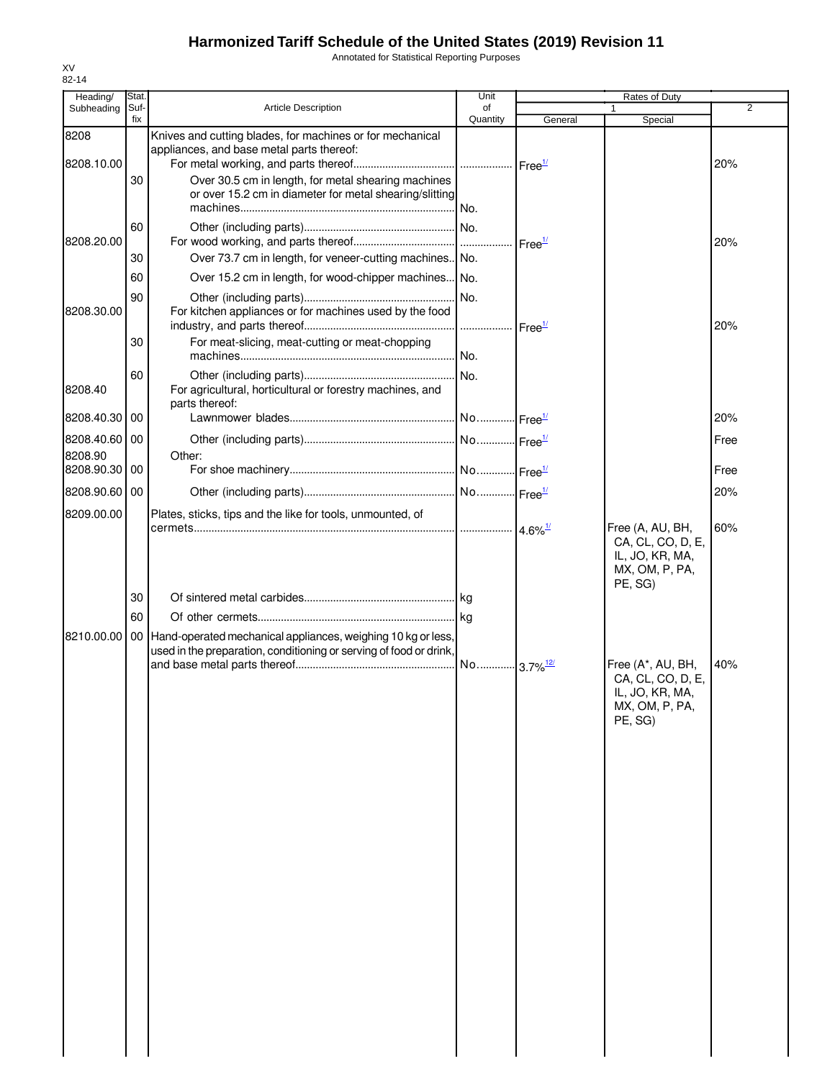Annotated for Statistical Reporting Purposes

| Heading/              | Stat.       |                                                                                                        | Unit                   |                            | Rates of Duty                                                                          |      |
|-----------------------|-------------|--------------------------------------------------------------------------------------------------------|------------------------|----------------------------|----------------------------------------------------------------------------------------|------|
| Subheading            | Suf-<br>fix | <b>Article Description</b>                                                                             | of<br>Quantity         | General                    |                                                                                        | 2    |
| 8208                  |             | Knives and cutting blades, for machines or for mechanical<br>appliances, and base metal parts thereof: |                        |                            | Special                                                                                |      |
| 8208.10.00            |             |                                                                                                        |                        |                            |                                                                                        | 20%  |
|                       | 30          | Over 30.5 cm in length, for metal shearing machines                                                    |                        |                            |                                                                                        |      |
|                       |             | or over 15.2 cm in diameter for metal shearing/slitting                                                |                        |                            |                                                                                        |      |
|                       | 60          |                                                                                                        |                        |                            |                                                                                        |      |
| 8208.20.00            |             |                                                                                                        |                        |                            |                                                                                        | 20%  |
|                       | 30          | Over 73.7 cm in length, for veneer-cutting machines No.                                                |                        |                            |                                                                                        |      |
|                       | 60          | Over 15.2 cm in length, for wood-chipper machines No.                                                  |                        |                            |                                                                                        |      |
|                       | 90          |                                                                                                        | No.                    |                            |                                                                                        |      |
| 8208.30.00            |             | For kitchen appliances or for machines used by the food                                                |                        |                            |                                                                                        | 20%  |
|                       | 30          | For meat-slicing, meat-cutting or meat-chopping                                                        |                        |                            |                                                                                        |      |
|                       |             |                                                                                                        |                        |                            |                                                                                        |      |
|                       | 60          |                                                                                                        |                        |                            |                                                                                        |      |
| 8208.40               |             | For agricultural, horticultural or forestry machines, and                                              |                        |                            |                                                                                        |      |
|                       |             | parts thereof:                                                                                         |                        |                            |                                                                                        |      |
| 8208.40.30            | 00          |                                                                                                        |                        |                            |                                                                                        | 20%  |
| 8208.40.60<br>8208.90 | 00          | Other:                                                                                                 |                        |                            |                                                                                        | Free |
| 8208.90.30 00         |             |                                                                                                        |                        |                            |                                                                                        | Free |
|                       |             |                                                                                                        |                        |                            |                                                                                        |      |
| 8208.90.60 00         |             |                                                                                                        |                        |                            |                                                                                        | 20%  |
| 8209.00.00            |             | Plates, sticks, tips and the like for tools, unmounted, of                                             |                        | $\cdot$ 4.6% $\frac{1}{2}$ | Free (A, AU, BH,                                                                       | 60%  |
|                       | 30<br>60    |                                                                                                        |                        |                            | CA, CL, CO, D, E,<br>IL, JO, KR, MA,<br>MX, OM, P, PA,<br>PE, SG)                      |      |
| 8210.00.00            |             | 00 Hand-operated mechanical appliances, weighing 10 kg or less,                                        |                        |                            |                                                                                        |      |
|                       |             | used in the preparation, conditioning or serving of food or drink,                                     | No 3.7% <sup>12/</sup> |                            | Free (A*, AU, BH,<br>CA, CL, CO, D, E,<br>IL, JO, KR, MA,<br>MX, OM, P, PA,<br>PE. SG) | 40%  |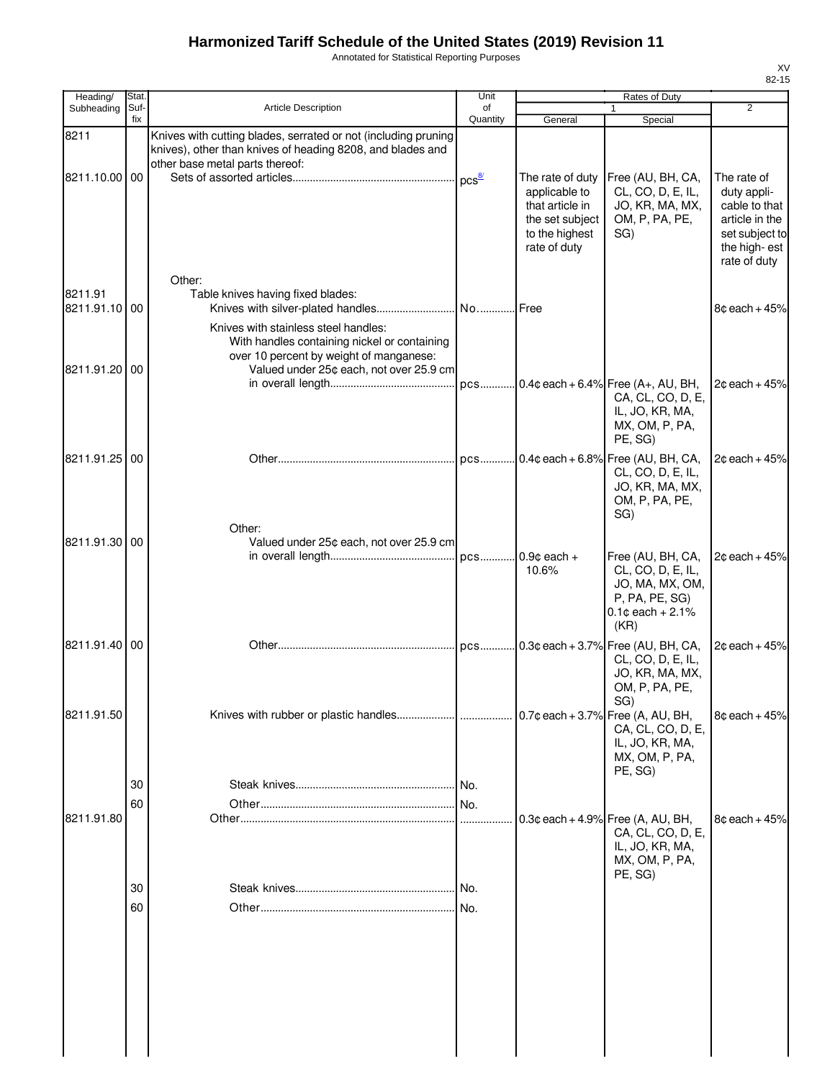Annotated for Statistical Reporting Purposes

| Heading/                 | Stat.       |                                                                                                                                                                            | Unit                |                                                                                                           | Rates of Duty                                                                                               |                                                                                                                 |
|--------------------------|-------------|----------------------------------------------------------------------------------------------------------------------------------------------------------------------------|---------------------|-----------------------------------------------------------------------------------------------------------|-------------------------------------------------------------------------------------------------------------|-----------------------------------------------------------------------------------------------------------------|
| Subheading               | Suf-<br>fix | <b>Article Description</b>                                                                                                                                                 | of<br>Quantity      | General                                                                                                   | $\mathbf{1}$<br>Special                                                                                     | $\overline{2}$                                                                                                  |
| 8211                     |             | Knives with cutting blades, serrated or not (including pruning<br>knives), other than knives of heading 8208, and blades and<br>other base metal parts thereof:            |                     |                                                                                                           |                                                                                                             |                                                                                                                 |
| 8211.10.00 00            |             |                                                                                                                                                                            | $DCS^{\frac{8}{2}}$ | The rate of duty<br>applicable to<br>that article in<br>the set subject<br>to the highest<br>rate of duty | Free (AU, BH, CA,<br>CL, CO, D, E, IL,<br>JO, KR, MA, MX,<br>OM, P, PA, PE,<br>SG)                          | The rate of<br>duty appli-<br>cable to that<br>article in the<br>set subject to<br>the high-est<br>rate of duty |
| 8211.91<br>8211.91.10 00 |             | Other:<br>Table knives having fixed blades:                                                                                                                                |                     |                                                                                                           |                                                                                                             | $8¢$ each + 45%                                                                                                 |
| 8211.91.20 00            |             | Knives with stainless steel handles:<br>With handles containing nickel or containing<br>over 10 percent by weight of manganese:<br>Valued under 25¢ each, not over 25.9 cm |                     |                                                                                                           |                                                                                                             |                                                                                                                 |
|                          |             |                                                                                                                                                                            |                     |                                                                                                           | pcs 0.4¢ each + 6.4% Free (A+, AU, BH,<br>CA, CL, CO, D, E,<br>IL, JO, KR, MA,<br>MX, OM, P, PA,<br>PE, SG) | $2c$ each + 45%                                                                                                 |
| 8211.91.25 00            |             |                                                                                                                                                                            |                     |                                                                                                           | pcs 0.4¢ each + 6.8% Free (AU, BH, CA,<br>CL, CO, D, E, IL,<br>JO, KR, MA, MX,<br>OM, P, PA, PE,<br>SG)     | $2¢$ each + 45%                                                                                                 |
| 8211.91.30 00            |             | Other:<br>Valued under 25¢ each, not over 25.9 cm                                                                                                                          |                     | $0.9¢$ each +<br>10.6%                                                                                    | Free (AU, BH, CA,<br>CL, CO, D, E, IL,<br>JO, MA, MX, OM,<br>P, PA, PE, SG)<br>$0.1¢$ each + 2.1%<br>(KR)   | $2¢$ each + 45%                                                                                                 |
| 8211.91.40 00            |             |                                                                                                                                                                            |                     |                                                                                                           | pcs 0.3¢ each + 3.7% Free (AU, BH, CA,<br>CL, CO, D, E, IL,<br>JO, KR, MA, MX,<br>OM, P, PA, PE,<br>SG)     | $2¢$ each + 45%                                                                                                 |
| 8211.91.50               |             |                                                                                                                                                                            |                     |                                                                                                           | $0.7$ ¢ each + 3.7% Free (A, AU, BH,<br>CA, CL, CO, D, E,<br>IL, JO, KR, MA,<br>MX, OM, P, PA,<br>PE, SG)   | $8¢$ each + 45%                                                                                                 |
| 8211.91.80               | 30<br>60    |                                                                                                                                                                            | No.                 |                                                                                                           | $0.3$ ¢ each + 4.9% Free (A, AU, BH,<br>CA, CL, CO, D, E,<br>IL, JO, KR, MA,<br>MX, OM, P, PA,              | $8¢$ each + 45%                                                                                                 |
|                          | 30<br>60    |                                                                                                                                                                            |                     |                                                                                                           | PE, SG)                                                                                                     |                                                                                                                 |
|                          |             |                                                                                                                                                                            |                     |                                                                                                           |                                                                                                             |                                                                                                                 |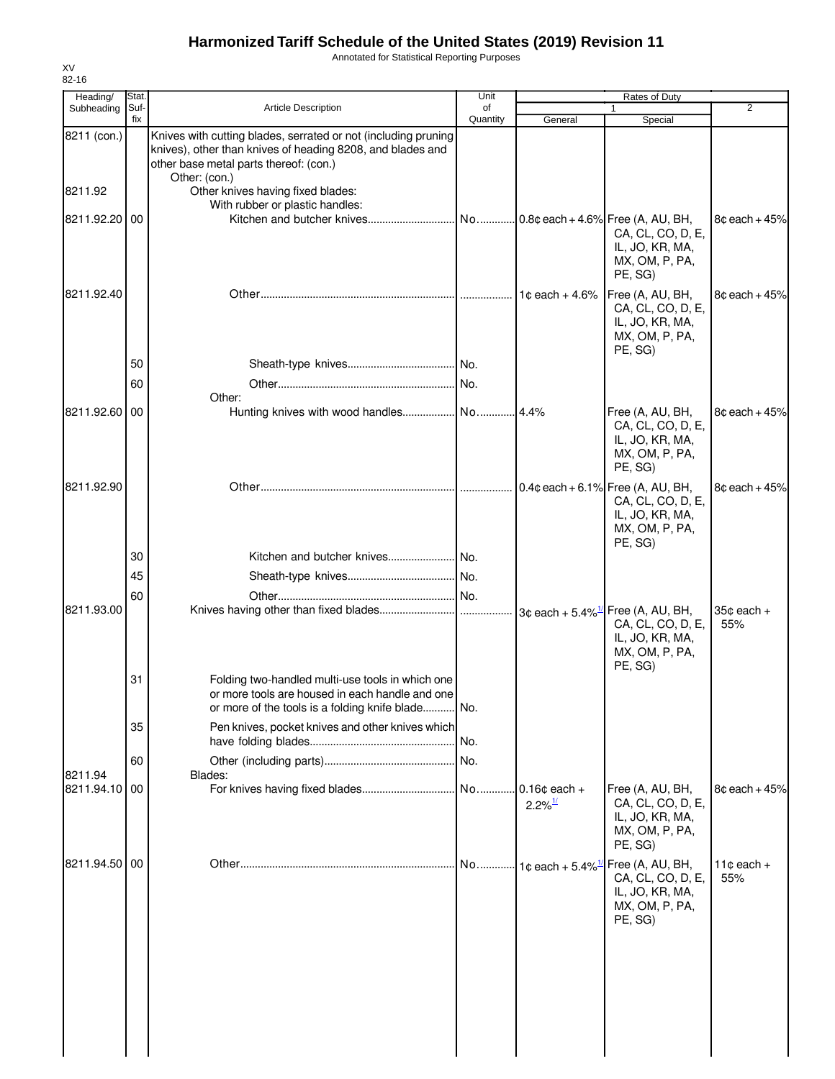Annotated for Statistical Reporting Purposes

| Heading/              | Stat.       |                                                                                                                                                                                         | Unit           |                                          | <b>Rates of Duty</b>                                                                                                 |                        |
|-----------------------|-------------|-----------------------------------------------------------------------------------------------------------------------------------------------------------------------------------------|----------------|------------------------------------------|----------------------------------------------------------------------------------------------------------------------|------------------------|
| Subheading            | Suf-<br>fix | <b>Article Description</b>                                                                                                                                                              | of<br>Quantity | General                                  | 1<br>Special                                                                                                         | $\overline{2}$         |
| 8211 (con.)           |             | Knives with cutting blades, serrated or not (including pruning<br>knives), other than knives of heading 8208, and blades and<br>other base metal parts thereof: (con.)<br>Other: (con.) |                |                                          |                                                                                                                      |                        |
| 8211.92               |             | Other knives having fixed blades:<br>With rubber or plastic handles:                                                                                                                    |                |                                          |                                                                                                                      |                        |
| 8211.92.20 00         |             |                                                                                                                                                                                         | No             |                                          | $0.8$ ¢ each + 4.6% Free (A, AU, BH,<br>CA, CL, CO, D, E,<br>IL, JO, KR, MA,<br>MX, OM, P, PA,<br>PE, SG)            | $8¢$ each + 45%        |
| 8211.92.40            |             |                                                                                                                                                                                         |                | 1 $\texttt{c}$ each + 4.6%               | Free (A, AU, BH,<br>CA, CL, CO, D, E,<br>IL, JO, KR, MA,<br>MX, OM, P, PA,<br>PE, SG)                                | $8¢$ each + 45%        |
|                       | 50          |                                                                                                                                                                                         |                |                                          |                                                                                                                      |                        |
|                       | 60          | Other:                                                                                                                                                                                  | No.            |                                          |                                                                                                                      |                        |
| 8211.92.60 00         |             |                                                                                                                                                                                         |                |                                          | Free (A, AU, BH,<br>CA, CL, CO, D, E,<br>IL, JO, KR, MA,<br>MX, OM, P, PA,<br>PE, SG)                                | $8¢$ each + 45%        |
| 8211.92.90            |             |                                                                                                                                                                                         |                |                                          | $0.4$ ¢ each + 6.1% Free (A, AU, BH,<br>CA, CL, CO, D, E,<br>IL, JO, KR, MA,<br>MX, OM, P, PA,<br>PE, SG)            | $8¢$ each + 45%        |
|                       | 30          |                                                                                                                                                                                         |                |                                          |                                                                                                                      |                        |
|                       | 45          |                                                                                                                                                                                         |                |                                          |                                                                                                                      |                        |
| 8211.93.00            | 60          |                                                                                                                                                                                         |                |                                          | $3¢$ each + 5.4% <sup>1/</sup> Free (A, AU, BH,<br>CA, CL, CO, D, E,<br>IL, JO, KR, MA,<br>MX, OM, P, PA,<br>PE, SG) | $35¢$ each $+$<br>55%  |
|                       | 31          | Folding two-handled multi-use tools in which one<br>or more tools are housed in each handle and one<br>or more of the tools is a folding knife blade No.                                |                |                                          |                                                                                                                      |                        |
|                       | 35          | Pen knives, pocket knives and other knives which                                                                                                                                        | No.            |                                          |                                                                                                                      |                        |
|                       | 60          |                                                                                                                                                                                         |                |                                          |                                                                                                                      |                        |
| 8211.94<br>8211.94.10 | 00          | Blades:                                                                                                                                                                                 | No             | $0.16$ ¢ each +<br>$2.2\%$ <sup>1/</sup> | Free (A, AU, BH,<br>CA, CL, CO, D, E,<br>IL, JO, KR, MA,<br>MX, OM, P, PA,<br>PE, SG)                                | $8¢$ each + 45%        |
| 8211.94.50 00         |             |                                                                                                                                                                                         | No             |                                          | 1¢ each + 5.4% <sup>1/</sup> Free (A, AU, BH,<br>CA, CL, CO, D, E,<br>IL, JO, KR, MA,<br>MX, OM, P, PA,<br>PE, SG)   | 11 $¢$ each $+$<br>55% |
|                       |             |                                                                                                                                                                                         |                |                                          |                                                                                                                      |                        |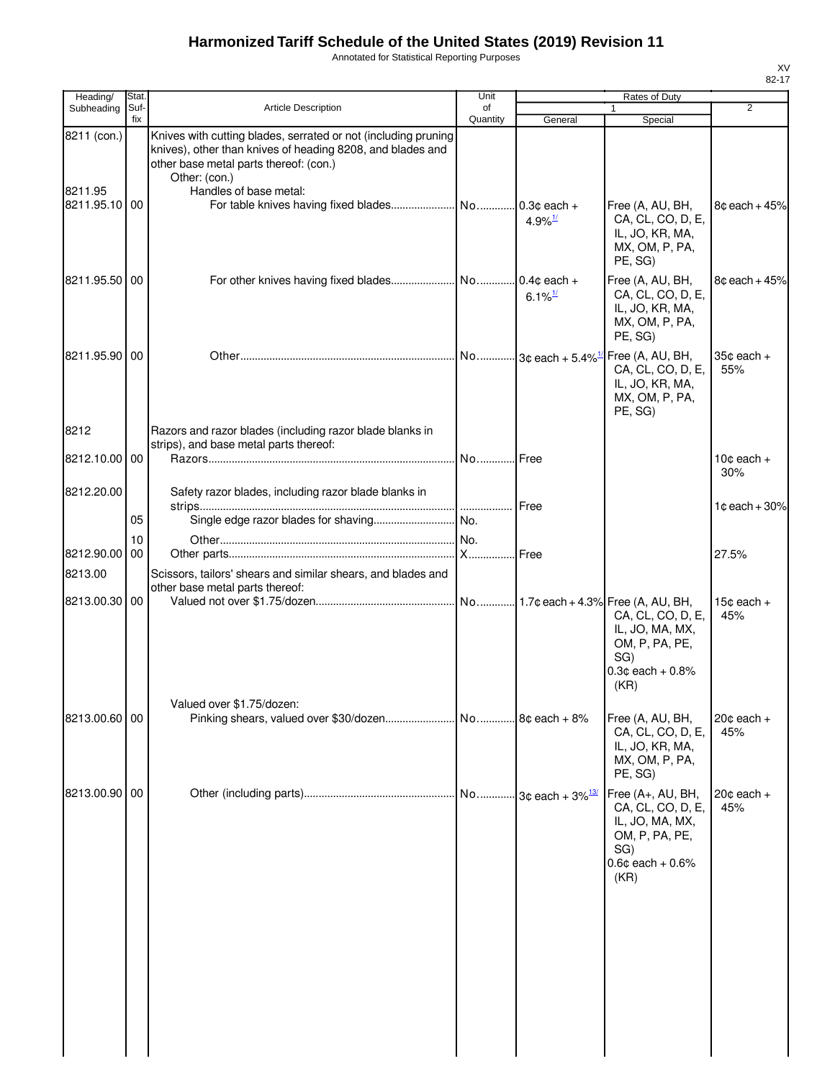Annotated for Statistical Reporting Purposes

| Heading/                                | Stat.       |                                                                                                                                                                                                                   | Unit           |                                | Rates of Duty                                                                                                       |                               |
|-----------------------------------------|-------------|-------------------------------------------------------------------------------------------------------------------------------------------------------------------------------------------------------------------|----------------|--------------------------------|---------------------------------------------------------------------------------------------------------------------|-------------------------------|
| Subheading                              | Suf-<br>fix | Article Description                                                                                                                                                                                               | of<br>Quantity | General                        | 1<br>Special                                                                                                        | $\overline{2}$                |
| 8211 (con.)<br>8211.95<br>8211.95.10 00 |             | Knives with cutting blades, serrated or not (including pruning<br>knives), other than knives of heading 8208, and blades and<br>other base metal parts thereof: (con.)<br>Other: (con.)<br>Handles of base metal: |                | $4.9\%$ <sup>1/</sup>          | Free (A, AU, BH,<br>CA, CL, CO, D, E,<br>IL, JO, KR, MA,<br>MX, OM, P, PA,                                          | 8¢ each + 45%                 |
| 8211.95.50 00                           |             |                                                                                                                                                                                                                   |                | 6.1% $\frac{1}{2}$             | PE, SG)<br>Free (A, AU, BH,<br>CA, CL, CO, D, E,<br>IL, JO, KR, MA,<br>MX, OM, P, PA,<br>PE, SG)                    | $8¢$ each + $45%$             |
| 8211.95.90 00                           |             |                                                                                                                                                                                                                   |                |                                | Free (A, AU, BH,<br>CA, CL, CO, D, E,<br>IL, JO, KR, MA,<br>MX, OM, P, PA,<br>PE, SG)                               | $35¢$ each +<br>55%           |
| 8212                                    |             | Razors and razor blades (including razor blade blanks in<br>strips), and base metal parts thereof:                                                                                                                |                |                                |                                                                                                                     |                               |
| 8212.10.00 00                           |             |                                                                                                                                                                                                                   | No Free        |                                |                                                                                                                     | 10 $\texttt{c}$ each +<br>30% |
| 8212.20.00                              | 05          | Safety razor blades, including razor blade blanks in                                                                                                                                                              |                | Free                           |                                                                                                                     | $1¢$ each + 30%               |
|                                         | 10          |                                                                                                                                                                                                                   | No.            |                                |                                                                                                                     |                               |
| 8212.90.00                              | 00          |                                                                                                                                                                                                                   |                | Free                           |                                                                                                                     | 27.5%                         |
| 8213.00                                 |             | Scissors, tailors' shears and similar shears, and blades and                                                                                                                                                      |                |                                |                                                                                                                     |                               |
| 8213.00.30 00                           |             | other base metal parts thereof:                                                                                                                                                                                   |                |                                | CA, CL, CO, D, E,<br>IL, JO, MA, MX,<br>OM, P, PA, PE,<br>SG)<br>$0.3c$ each + $0.8%$<br>(KR)                       | 15 $\texttt{c}$ each +<br>45% |
| 8213.00.60 00                           |             | Valued over \$1.75/dozen:                                                                                                                                                                                         |                | $.8c$ each + $8%$              | Free (A, AU, BH,<br>CA, CL, CO, D, E,<br>IL, JO, KR, MA,<br>MX, OM, P, PA,<br>PE, SG)                               | $20¢$ each $+$<br>45%         |
| 8213.00.90 00                           |             |                                                                                                                                                                                                                   |                | No 3¢ each + 3% <sup>13/</sup> | Free (A+, AU, BH,<br>CA, CL, CO, D, E,<br>IL, JO, MA, MX,<br>OM, P, PA, PE,<br>SG)<br>$0.6$ ¢ each + $0.6%$<br>(KR) | $20¢$ each $+$<br>45%         |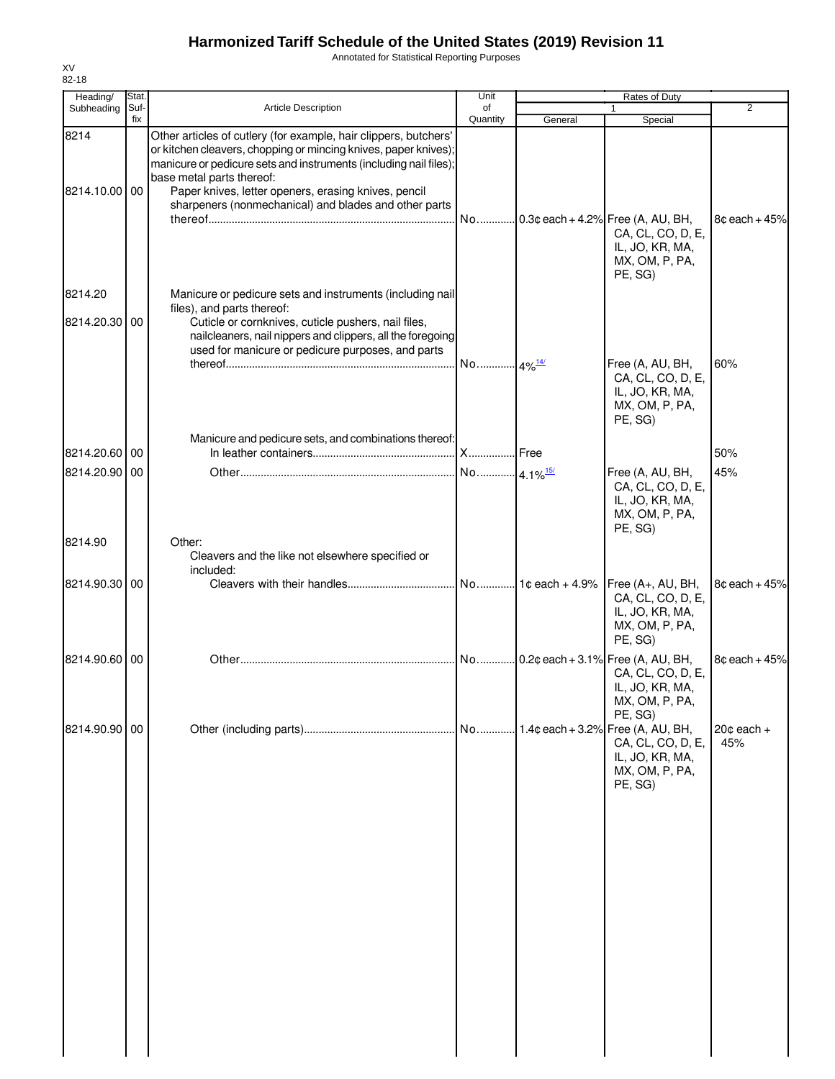Annotated for Statistical Reporting Purposes

| Heading/              | Stat.       |                                                                                                                                                                                                                                                                                                                                                        | Unit                   |         | Rates of Duty                                                                                             |                       |
|-----------------------|-------------|--------------------------------------------------------------------------------------------------------------------------------------------------------------------------------------------------------------------------------------------------------------------------------------------------------------------------------------------------------|------------------------|---------|-----------------------------------------------------------------------------------------------------------|-----------------------|
| Subheading            | Suf-<br>fix | Article Description                                                                                                                                                                                                                                                                                                                                    | of<br>Quantity         | General | Special                                                                                                   | $\overline{2}$        |
| 8214<br>8214.10.00 00 |             | Other articles of cutlery (for example, hair clippers, butchers'<br>or kitchen cleavers, chopping or mincing knives, paper knives);<br>manicure or pedicure sets and instruments (including nail files);<br>base metal parts thereof:<br>Paper knives, letter openers, erasing knives, pencil<br>sharpeners (nonmechanical) and blades and other parts | No                     |         | $0.3$ ¢ each + 4.2% Free (A, AU, BH,<br>CA, CL, CO, D, E,<br>IL, JO, KR, MA,<br>MX, OM, P, PA,            | $8¢$ each + 45%       |
| 8214.20<br>8214.20.30 | 00          | Manicure or pedicure sets and instruments (including nail<br>files), and parts thereof:<br>Cuticle or cornknives, cuticle pushers, nail files,<br>nailcleaners, nail nippers and clippers, all the foregoing<br>used for manicure or pedicure purposes, and parts                                                                                      |                        |         | PE, SG)                                                                                                   |                       |
|                       |             |                                                                                                                                                                                                                                                                                                                                                        | No 4% <sup>14/</sup>   |         | Free (A, AU, BH,<br>CA, CL, CO, D, E,<br>IL, JO, KR, MA,<br>MX, OM, P, PA,<br>PE, SG)                     | 60%                   |
| 8214.20.60            | 00          | Manicure and pedicure sets, and combinations thereof:                                                                                                                                                                                                                                                                                                  | <b>X</b> Free          |         |                                                                                                           | 50%                   |
| 8214.20.90 00         |             |                                                                                                                                                                                                                                                                                                                                                        | No 4.1% <sup>15/</sup> |         | Free (A, AU, BH,<br>CA, CL, CO, D, E,<br>IL, JO, KR, MA,<br>MX, OM, P, PA,                                | 45%                   |
| 8214.90               |             | Other:<br>Cleavers and the like not elsewhere specified or<br>included:                                                                                                                                                                                                                                                                                |                        |         | PE, SG)                                                                                                   |                       |
| 8214.90.30 00         |             |                                                                                                                                                                                                                                                                                                                                                        |                        |         | CA, CL, CO, D, E,<br>IL, JO, KR, MA,<br>MX, OM, P, PA,<br>PE, SG)                                         | $8¢$ each + 45%       |
| 8214.90.60            | 00          |                                                                                                                                                                                                                                                                                                                                                        |                        |         | $0.2$ ¢ each + 3.1% Free (A, AU, BH,<br>CA, CL, CO, D, E,<br>IL, JO, KR, MA,<br>MX, OM, P, PA,<br>PE, SG) | $8¢$ each + 45%       |
| 8214.90.90 00         |             |                                                                                                                                                                                                                                                                                                                                                        |                        |         | 1.4¢ each + 3.2% Free (A, AU, BH,<br>CA, CL, CO, D, E,<br>IL, JO, KR, MA,<br>MX, OM, P, PA,<br>PE, SG)    | $20¢$ each $+$<br>45% |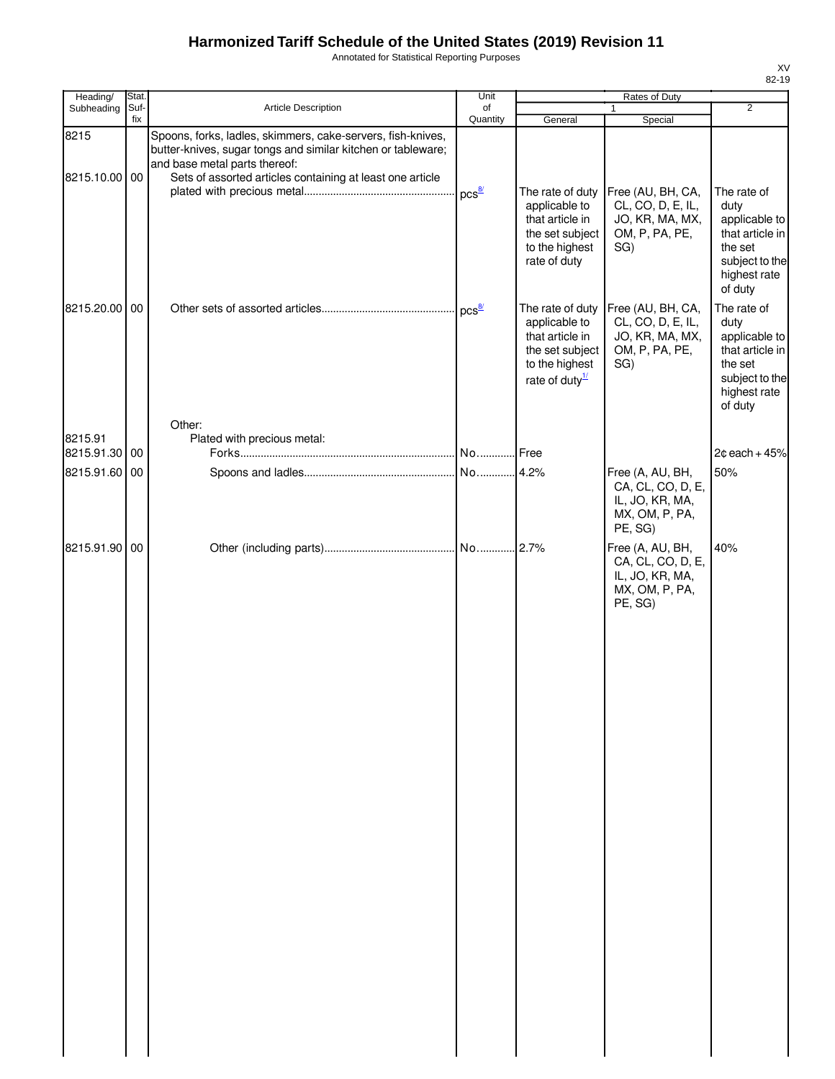Annotated for Statistical Reporting Purposes

| Heading/              | Stat.       |                                                                                                                                                                                                                           | Unit                |                                                                                                                         | Rates of Duty                                                                         |                                                                                                                 |
|-----------------------|-------------|---------------------------------------------------------------------------------------------------------------------------------------------------------------------------------------------------------------------------|---------------------|-------------------------------------------------------------------------------------------------------------------------|---------------------------------------------------------------------------------------|-----------------------------------------------------------------------------------------------------------------|
| Subheading            | Suf-<br>fix | Article Description                                                                                                                                                                                                       | of<br>Quantity      | General                                                                                                                 | $\mathbf{1}$<br>Special                                                               | $\overline{2}$                                                                                                  |
| 8215<br>8215.10.00 00 |             | Spoons, forks, ladles, skimmers, cake-servers, fish-knives,<br>butter-knives, sugar tongs and similar kitchen or tableware;<br>and base metal parts thereof:<br>Sets of assorted articles containing at least one article |                     |                                                                                                                         |                                                                                       |                                                                                                                 |
|                       |             |                                                                                                                                                                                                                           | $pcs^{\frac{8}{2}}$ | The rate of duty<br>applicable to<br>that article in<br>the set subject<br>to the highest<br>rate of duty               | Free (AU, BH, CA,<br>CL, CO, D, E, IL,<br>JO, KR, MA, MX,<br>OM, P, PA, PE,<br>SG)    | The rate of<br>duty<br>applicable to<br>that article in<br>the set<br>subject to the<br>highest rate<br>of duty |
| 8215.20.00 00         |             |                                                                                                                                                                                                                           |                     | The rate of duty<br>applicable to<br>that article in<br>the set subject<br>to the highest<br>rate of duty $\frac{1}{2}$ | Free (AU, BH, CA,<br>CL, CO, D, E, IL,<br>JO, KR, MA, MX,<br>OM, P, PA, PE,<br>SG)    | The rate of<br>duty<br>applicable to<br>that article in<br>the set<br>subject to the<br>highest rate<br>of duty |
| 8215.91               |             | Other:<br>Plated with precious metal:                                                                                                                                                                                     |                     |                                                                                                                         |                                                                                       |                                                                                                                 |
| 8215.91.30 00         |             |                                                                                                                                                                                                                           |                     |                                                                                                                         |                                                                                       | $2¢$ each + 45%                                                                                                 |
| 8215.91.60 00         |             |                                                                                                                                                                                                                           |                     |                                                                                                                         | Free (A, AU, BH,<br>CA, CL, CO, D, E,<br>IL, JO, KR, MA,<br>MX, OM, P, PA,<br>PE, SG) | 50%                                                                                                             |
| 8215.91.90 00         |             |                                                                                                                                                                                                                           |                     |                                                                                                                         | Free (A, AU, BH,<br>CA, CL, CO, D, E,<br>IL, JO, KR, MA,<br>MX, OM, P, PA,<br>PE, SG) | 40%                                                                                                             |
|                       |             |                                                                                                                                                                                                                           |                     |                                                                                                                         |                                                                                       |                                                                                                                 |
|                       |             |                                                                                                                                                                                                                           |                     |                                                                                                                         |                                                                                       |                                                                                                                 |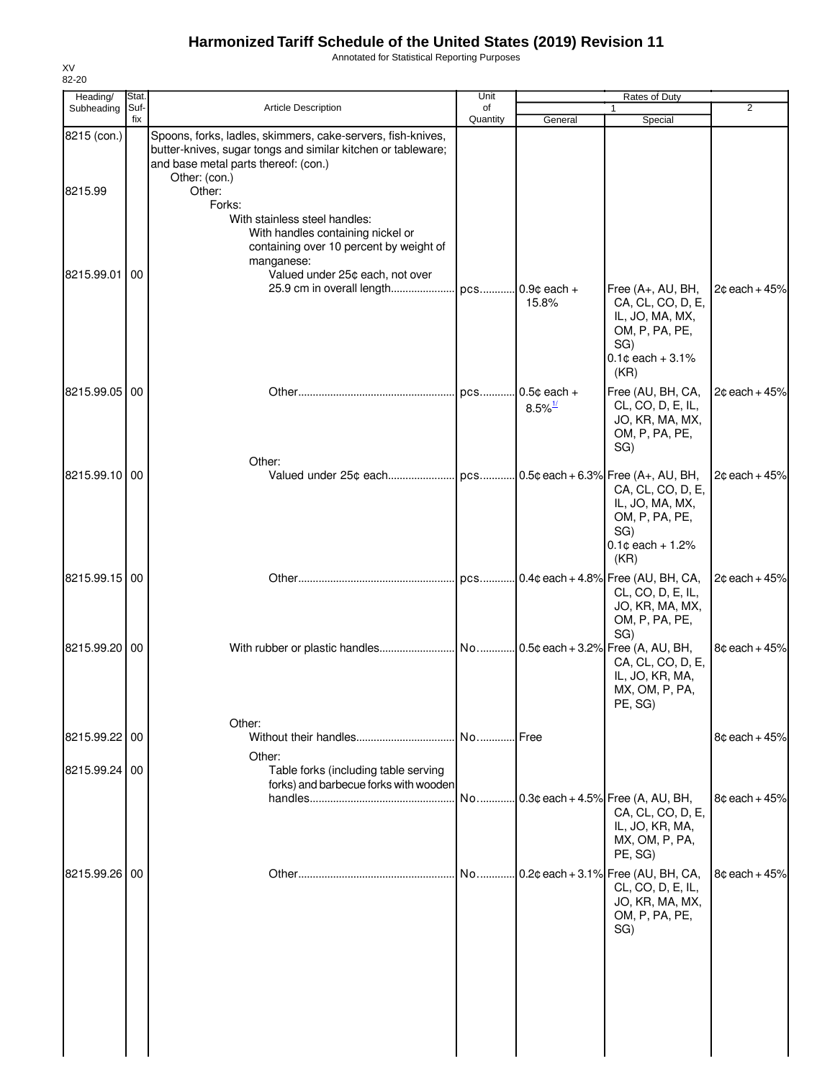Annotated for Statistical Reporting Purposes

| Heading/      | <b>Stat</b> |                                                                                                                                                                                      | Unit           |                                        | Rates of Duty                                                                                                     |                 |
|---------------|-------------|--------------------------------------------------------------------------------------------------------------------------------------------------------------------------------------|----------------|----------------------------------------|-------------------------------------------------------------------------------------------------------------------|-----------------|
| Subheading    | Suf-<br>fix | Article Description                                                                                                                                                                  | of<br>Quantity | General                                | $\mathbf{1}$<br>Special                                                                                           | 2               |
| 8215 (con.)   |             | Spoons, forks, ladles, skimmers, cake-servers, fish-knives,<br>butter-knives, sugar tongs and similar kitchen or tableware;<br>and base metal parts thereof: (con.)<br>Other: (con.) |                |                                        |                                                                                                                   |                 |
| 8215.99       |             | Other:<br>Forks:                                                                                                                                                                     |                |                                        |                                                                                                                   |                 |
|               |             | With stainless steel handles:<br>With handles containing nickel or<br>containing over 10 percent by weight of<br>manganese:                                                          |                |                                        |                                                                                                                   |                 |
| 8215.99.01    | 100         | Valued under 25¢ each, not over<br>25.9 cm in overall length                                                                                                                         |                | pcs 0.9¢ each +<br>15.8%               | Free (A+, AU, BH,<br>CA, CL, CO, D, E,<br>IL, JO, MA, MX,<br>OM, P, PA, PE,<br>SG)<br>$0.1$ ¢ each + 3.1%<br>(KR) | $2¢$ each + 45% |
| 8215.99.05 00 |             |                                                                                                                                                                                      | pcs            | $0.5¢$ each +<br>$8.5\%$ <sup>1/</sup> | Free (AU, BH, CA,<br>CL, CO, D, E, IL,<br>JO, KR, MA, MX,<br>OM, P, PA, PE,<br>SG)                                | $2¢$ each + 45% |
| 8215.99.10 00 |             | Other:                                                                                                                                                                               |                |                                        | CA, CL, CO, D, E,<br>IL, JO, MA, MX,<br>OM, P, PA, PE,<br>SG)<br>$0.1$ ¢ each + 1.2%<br>(KR)                      | $2¢$ each + 45% |
| 8215.99.15 00 |             |                                                                                                                                                                                      |                |                                        | pcs 0.4¢ each + 4.8% Free (AU, BH, CA,<br>CL, CO, D, E, IL,<br>JO, KR, MA, MX,<br>OM, P, PA, PE,<br>SG)           | $2¢$ each + 45% |
| 8215.99.20 00 |             |                                                                                                                                                                                      |                |                                        | CA, CL, CO, D, E,<br>IL, JO, KR, MA,<br>MX, OM, P, PA,<br>PE, SG)                                                 | $8¢$ each + 45% |
| 8215.99.22 00 |             | Other:                                                                                                                                                                               | No             | .Free                                  |                                                                                                                   | $8¢$ each + 45% |
| 8215.99.24 00 |             | Other:<br>Table forks (including table serving<br>forks) and barbecue forks with wooden                                                                                              |                |                                        |                                                                                                                   |                 |
|               |             |                                                                                                                                                                                      | No             |                                        | $0.3$ ¢ each + 4.5% Free (A, AU, BH,<br>CA, CL, CO, D, E,<br>IL, JO, KR, MA,<br>MX, OM, P, PA,<br>PE, SG)         | $8¢$ each + 45% |
| 8215.99.26 00 |             |                                                                                                                                                                                      | No             |                                        | $.0.2$ ¢ each + 3.1% Free (AU, BH, CA,<br>CL, CO, D, E, IL,<br>JO, KR, MA, MX,<br>OM, P, PA, PE,<br>SG)           | $8¢$ each + 45% |
|               |             |                                                                                                                                                                                      |                |                                        |                                                                                                                   |                 |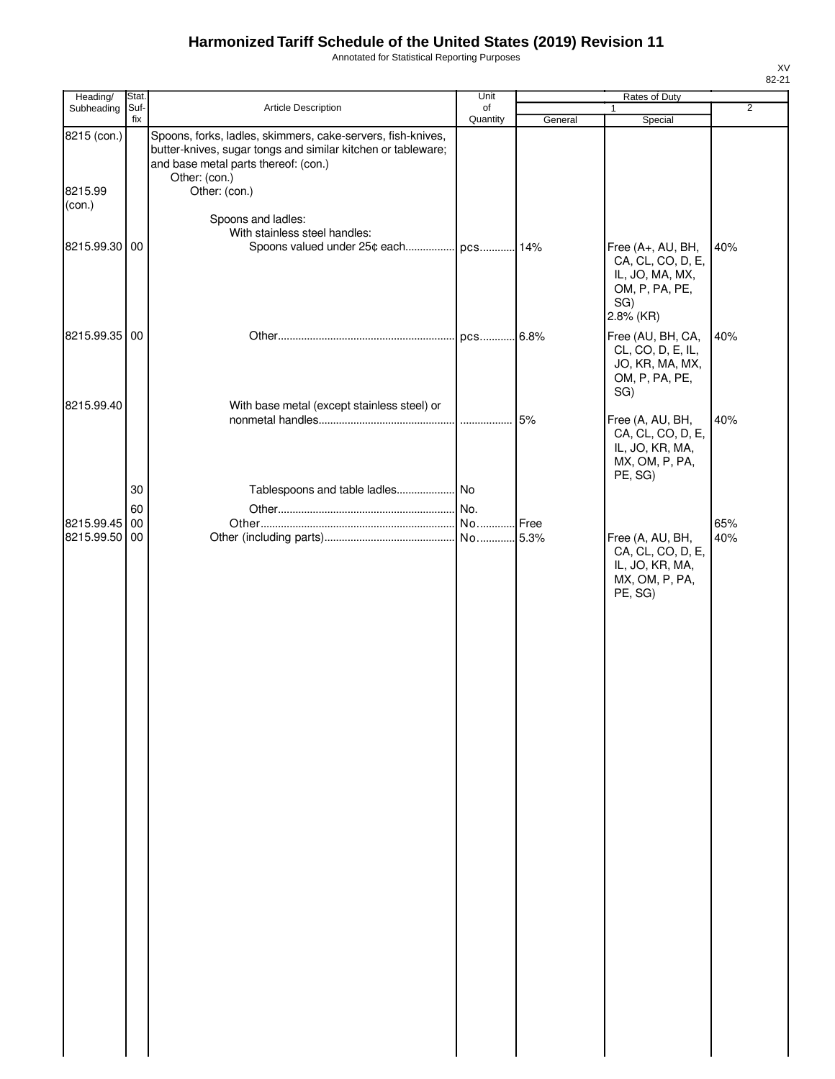Annotated for Statistical Reporting Purposes

| Heading/               | Stat.       |                                                                                                                                                                                                       | Unit           |         | Rates of Duty                                                                         |                |
|------------------------|-------------|-------------------------------------------------------------------------------------------------------------------------------------------------------------------------------------------------------|----------------|---------|---------------------------------------------------------------------------------------|----------------|
| Subheading             | Suf-<br>fix | Article Description                                                                                                                                                                                   | of<br>Quantity |         | 1<br>Special                                                                          | $\overline{2}$ |
| 8215 (con.)<br>8215.99 |             | Spoons, forks, ladles, skimmers, cake-servers, fish-knives,<br>butter-knives, sugar tongs and similar kitchen or tableware;<br>and base metal parts thereof: (con.)<br>Other: (con.)<br>Other: (con.) |                | General |                                                                                       |                |
| (con.)                 |             |                                                                                                                                                                                                       |                |         |                                                                                       |                |
| 8215.99.30 00          |             | Spoons and ladles:<br>With stainless steel handles:<br>Spoons valued under 25¢ each pcs                                                                                                               |                | 14%     | Free (A+, AU, BH,                                                                     | 40%            |
|                        |             |                                                                                                                                                                                                       |                |         | CA, CL, CO, D, E,<br>IL, JO, MA, MX,<br>OM, P, PA, PE,<br>SG)<br>2.8% (KR)            |                |
| 8215.99.35 00          |             |                                                                                                                                                                                                       | pcs            | 6.8%    | Free (AU, BH, CA,<br>CL, CO, D, E, IL,<br>JO, KR, MA, MX,<br>OM, P, PA, PE,<br>SG)    | 40%            |
| 8215.99.40             |             | With base metal (except stainless steel) or                                                                                                                                                           |                | 5%      | Free (A, AU, BH,<br>CA, CL, CO, D, E,<br>IL, JO, KR, MA,<br>MX, OM, P, PA,<br>PE, SG) | 40%            |
|                        | 30          |                                                                                                                                                                                                       |                |         |                                                                                       |                |
|                        | 60          |                                                                                                                                                                                                       |                |         |                                                                                       |                |
| 8215.99.45 00          |             |                                                                                                                                                                                                       |                | Free    |                                                                                       | 65%            |
| 8215.99.50 00          |             |                                                                                                                                                                                                       |                | 5.3%    | Free (A, AU, BH,<br>CA, CL, CO, D, E,<br>IL, JO, KR, MA,<br>MX, OM, P, PA,<br>PE, SG) | 40%            |
|                        |             |                                                                                                                                                                                                       |                |         |                                                                                       |                |
|                        |             |                                                                                                                                                                                                       |                |         |                                                                                       |                |
|                        |             |                                                                                                                                                                                                       |                |         |                                                                                       |                |
|                        |             |                                                                                                                                                                                                       |                |         |                                                                                       |                |
|                        |             |                                                                                                                                                                                                       |                |         |                                                                                       |                |
|                        |             |                                                                                                                                                                                                       |                |         |                                                                                       |                |
|                        |             |                                                                                                                                                                                                       |                |         |                                                                                       |                |